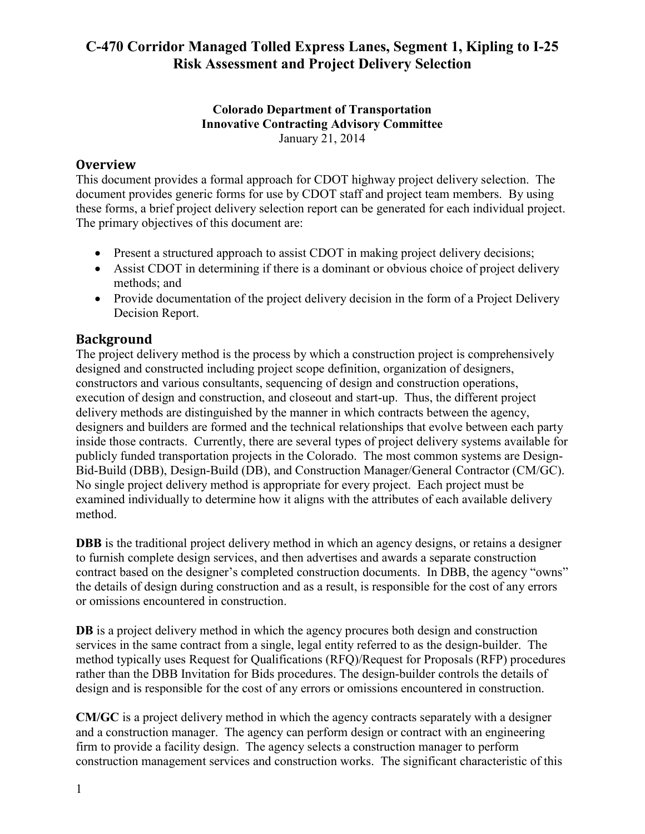**Colorado Department of Transportation Innovative Contracting Advisory Committee** January 21, 2014

### **Overview**

This document provides a formal approach for CDOT highway project delivery selection. The document provides generic forms for use by CDOT staff and project team members. By using these forms, a brief project delivery selection report can be generated for each individual project. The primary objectives of this document are:

- Present a structured approach to assist CDOT in making project delivery decisions;
- Assist CDOT in determining if there is a dominant or obvious choice of project delivery methods; and
- Provide documentation of the project delivery decision in the form of a Project Delivery Decision Report.

### **Background**

The project delivery method is the process by which a construction project is comprehensively designed and constructed including project scope definition, organization of designers, constructors and various consultants, sequencing of design and construction operations, execution of design and construction, and closeout and start-up. Thus, the different project delivery methods are distinguished by the manner in which contracts between the agency, designers and builders are formed and the technical relationships that evolve between each party inside those contracts. Currently, there are several types of project delivery systems available for publicly funded transportation projects in the Colorado. The most common systems are Design-Bid-Build (DBB), Design-Build (DB), and Construction Manager/General Contractor (CM/GC). No single project delivery method is appropriate for every project. Each project must be examined individually to determine how it aligns with the attributes of each available delivery method.

**DBB** is the traditional project delivery method in which an agency designs, or retains a designer to furnish complete design services, and then advertises and awards a separate construction contract based on the designer's completed construction documents. In DBB, the agency "owns" the details of design during construction and as a result, is responsible for the cost of any errors or omissions encountered in construction.

**DB** is a project delivery method in which the agency procures both design and construction services in the same contract from a single, legal entity referred to as the design-builder. The method typically uses Request for Qualifications (RFQ)/Request for Proposals (RFP) procedures rather than the DBB Invitation for Bids procedures. The design-builder controls the details of design and is responsible for the cost of any errors or omissions encountered in construction.

**CM/GC** is a project delivery method in which the agency contracts separately with a designer and a construction manager. The agency can perform design or contract with an engineering firm to provide a facility design. The agency selects a construction manager to perform construction management services and construction works. The significant characteristic of this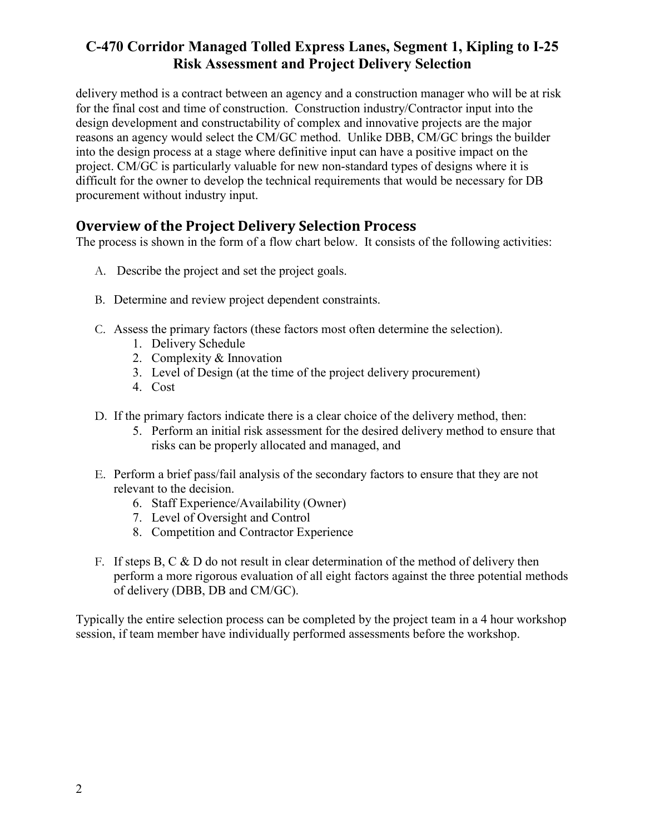delivery method is a contract between an agency and a construction manager who will be at risk for the final cost and time of construction. Construction industry/Contractor input into the design development and constructability of complex and innovative projects are the major reasons an agency would select the CM/GC method. Unlike DBB, CM/GC brings the builder into the design process at a stage where definitive input can have a positive impact on the project. CM/GC is particularly valuable for new non-standard types of designs where it is difficult for the owner to develop the technical requirements that would be necessary for DB procurement without industry input.

## **Overview of the Project Delivery Selection Process**

The process is shown in the form of a flow chart below. It consists of the following activities:

- A. Describe the project and set the project goals.
- B. Determine and review project dependent constraints.
- C. Assess the primary factors (these factors most often determine the selection).
	- 1. Delivery Schedule
	- 2. Complexity & Innovation
	- 3. Level of Design (at the time of the project delivery procurement)
	- 4. Cost
- D. If the primary factors indicate there is a clear choice of the delivery method, then:
	- 5. Perform an initial risk assessment for the desired delivery method to ensure that risks can be properly allocated and managed, and
- E. Perform a brief pass/fail analysis of the secondary factors to ensure that they are not relevant to the decision.
	- 6. Staff Experience/Availability (Owner)
	- 7. Level of Oversight and Control
	- 8. Competition and Contractor Experience
- F. If steps B, C  $\&$  D do not result in clear determination of the method of delivery then perform a more rigorous evaluation of all eight factors against the three potential methods of delivery (DBB, DB and CM/GC).

Typically the entire selection process can be completed by the project team in a 4 hour workshop session, if team member have individually performed assessments before the workshop.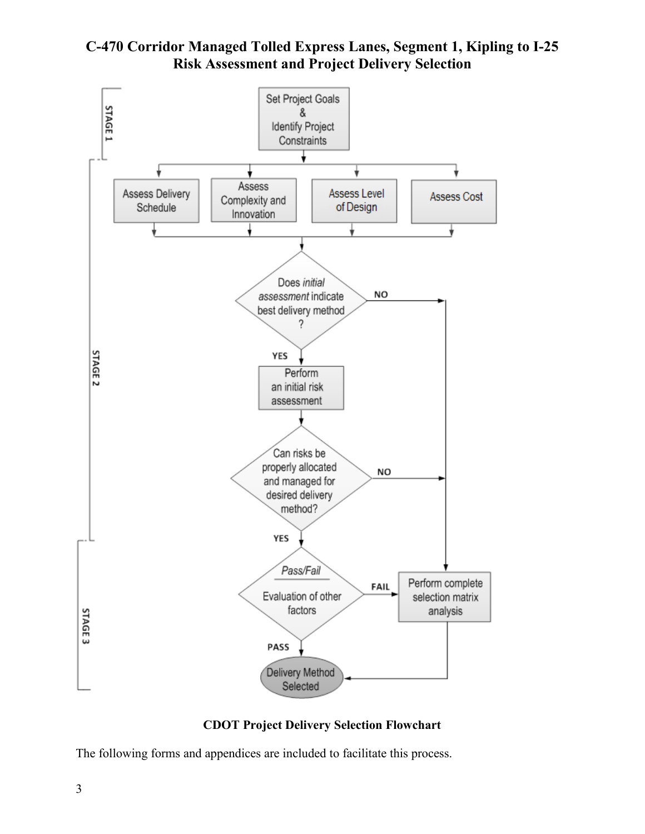

**C-470 Corridor Managed Tolled Express Lanes, Segment 1, Kipling to I-25 Risk Assessment and Project Delivery Selection**

**CDOT Project Delivery Selection Flowchart**

The following forms and appendices are included to facilitate this process.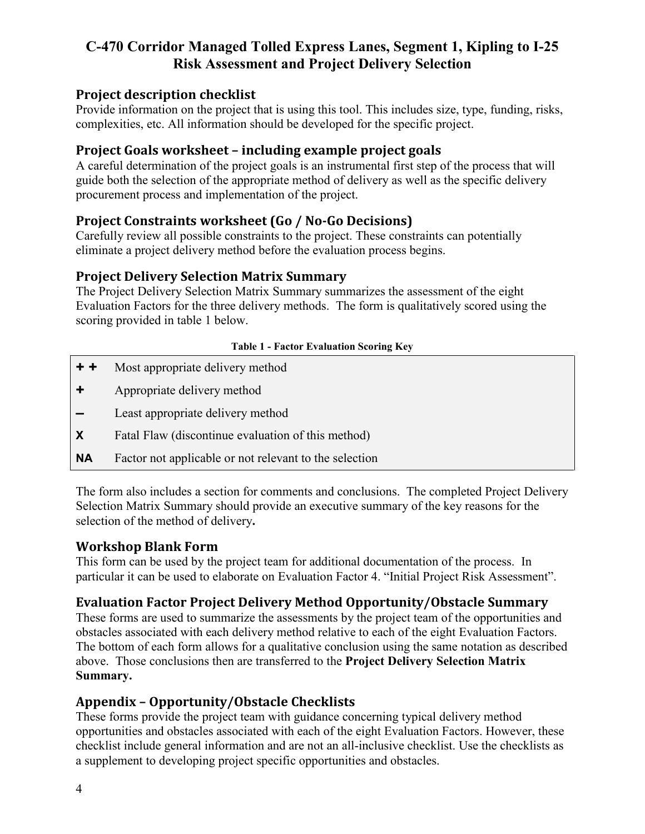### **Project description checklist**

Provide information on the project that is using this tool. This includes size, type, funding, risks, complexities, etc. All information should be developed for the specific project.

## **Project Goals worksheet – including example project goals**

A careful determination of the project goals is an instrumental first step of the process that will guide both the selection of the appropriate method of delivery as well as the specific delivery procurement process and implementation of the project.

## **Project Constraints worksheet (Go / No-Go Decisions)**

Carefully review all possible constraints to the project. These constraints can potentially eliminate a project delivery method before the evaluation process begins.

### **Project Delivery Selection Matrix Summary**

The Project Delivery Selection Matrix Summary summarizes the assessment of the eight Evaluation Factors for the three delivery methods. The form is qualitatively scored using the scoring provided in table 1 below.

#### **Table 1 - Factor Evaluation Scoring Key**

- **+ +** Most appropriate delivery method
- **+** Appropriate delivery method
- **–** Least appropriate delivery method
- **X Fatal Flaw (discontinue evaluation of this method)**
- **NA** Factor not applicable or not relevant to the selection

The form also includes a section for comments and conclusions.The completed Project Delivery Selection Matrix Summary should provide an executive summary of the key reasons for the selection of the method of delivery**.**

### **Workshop Blank Form**

This form can be used by the project team for additional documentation of the process. In particular it can be used to elaborate on Evaluation Factor 4. "Initial Project Risk Assessment".

## **Evaluation Factor Project Delivery Method Opportunity/Obstacle Summary**

These forms are used to summarize the assessments by the project team of the opportunities and obstacles associated with each delivery method relative to each of the eight Evaluation Factors. The bottom of each form allows for a qualitative conclusion using the same notation as described above. Those conclusions then are transferred to the **Project Delivery Selection Matrix Summary.**

## **Appendix – Opportunity/Obstacle Checklists**

These forms provide the project team with guidance concerning typical delivery method opportunities and obstacles associated with each of the eight Evaluation Factors. However, these checklist include general information and are not an all-inclusive checklist. Use the checklists as a supplement to developing project specific opportunities and obstacles.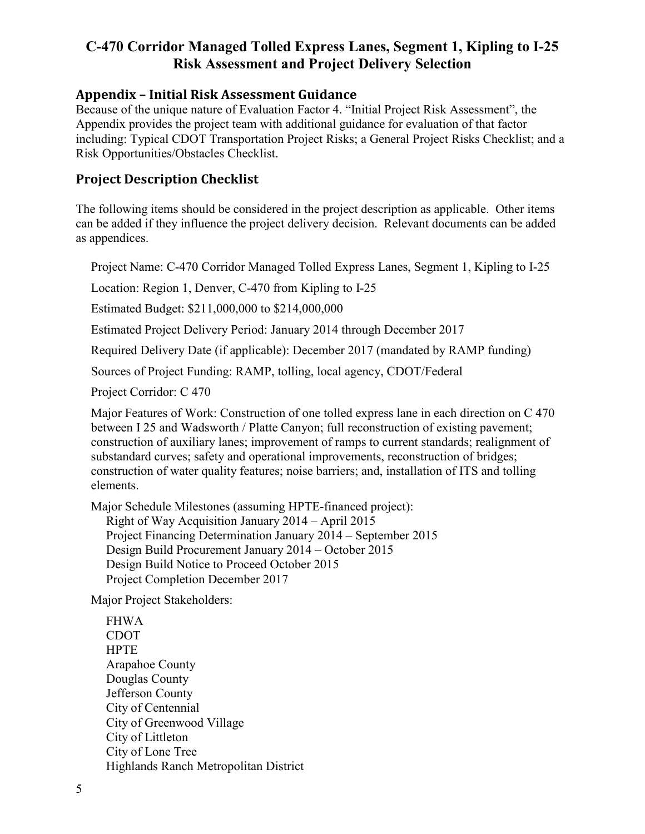### **Appendix – Initial Risk Assessment Guidance**

Because of the unique nature of Evaluation Factor 4. "Initial Project Risk Assessment", the Appendix provides the project team with additional guidance for evaluation of that factor including: Typical CDOT Transportation Project Risks; a General Project Risks Checklist; and a Risk Opportunities/Obstacles Checklist.

### **Project Description Checklist**

The following items should be considered in the project description as applicable. Other items can be added if they influence the project delivery decision. Relevant documents can be added as appendices.

Project Name: C-470 Corridor Managed Tolled Express Lanes, Segment 1, Kipling to I-25

Location: Region 1, Denver, C-470 from Kipling to I-25

Estimated Budget: \$211,000,000 to \$214,000,000

Estimated Project Delivery Period: January 2014 through December 2017

Required Delivery Date (if applicable): December 2017 (mandated by RAMP funding)

Sources of Project Funding: RAMP, tolling, local agency, CDOT/Federal

Project Corridor: C 470

Major Features of Work: Construction of one tolled express lane in each direction on C 470 between I 25 and Wadsworth / Platte Canyon; full reconstruction of existing pavement; construction of auxiliary lanes; improvement of ramps to current standards; realignment of substandard curves; safety and operational improvements, reconstruction of bridges; construction of water quality features; noise barriers; and, installation of ITS and tolling elements.

Major Schedule Milestones (assuming HPTE-financed project): Right of Way Acquisition January 2014 – April 2015 Project Financing Determination January 2014 – September 2015 Design Build Procurement January 2014 – October 2015 Design Build Notice to Proceed October 2015 Project Completion December 2017

Major Project Stakeholders:

FHWA CDOT **HPTE** Arapahoe County Douglas County Jefferson County City of Centennial City of Greenwood Village City of Littleton City of Lone Tree Highlands Ranch Metropolitan District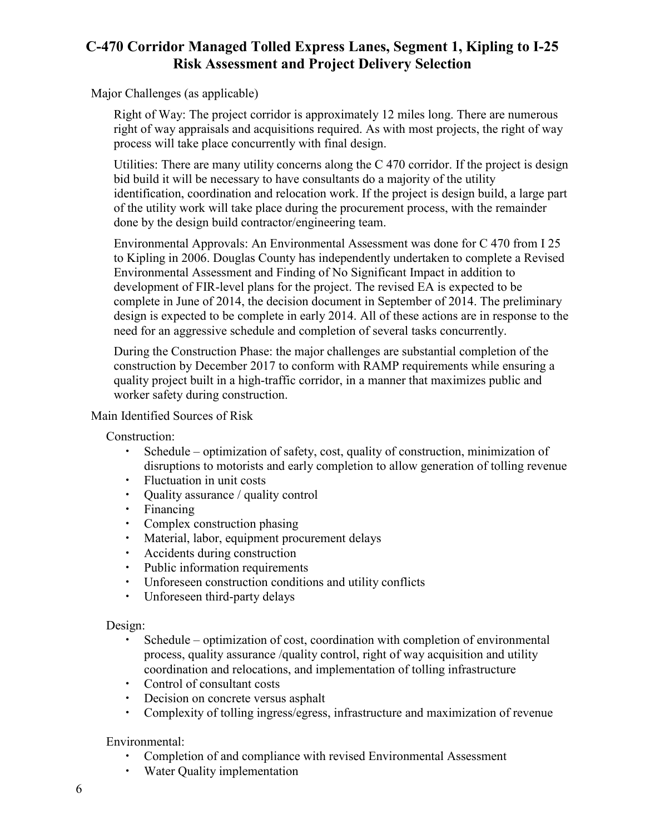Major Challenges (as applicable)

Right of Way: The project corridor is approximately 12 miles long. There are numerous right of way appraisals and acquisitions required. As with most projects, the right of way process will take place concurrently with final design.

Utilities: There are many utility concerns along the C 470 corridor. If the project is design bid build it will be necessary to have consultants do a majority of the utility identification, coordination and relocation work. If the project is design build, a large part of the utility work will take place during the procurement process, with the remainder done by the design build contractor/engineering team.

Environmental Approvals: An Environmental Assessment was done for C 470 from I 25 to Kipling in 2006. Douglas County has independently undertaken to complete a Revised Environmental Assessment and Finding of No Significant Impact in addition to development of FIR-level plans for the project. The revised EA is expected to be complete in June of 2014, the decision document in September of 2014. The preliminary design is expected to be complete in early 2014. All of these actions are in response to the need for an aggressive schedule and completion of several tasks concurrently.

During the Construction Phase: the major challenges are substantial completion of the construction by December 2017 to conform with RAMP requirements while ensuring a quality project built in a high-traffic corridor, in a manner that maximizes public and worker safety during construction.

Main Identified Sources of Risk

Construction:

- Schedule optimization of safety, cost, quality of construction, minimization of disruptions to motorists and early completion to allow generation of tolling revenue
- Fluctuation in unit costs
- Quality assurance / quality control
- Financing
- Complex construction phasing
- Material, labor, equipment procurement delays
- Accidents during construction
- Public information requirements
- Unforeseen construction conditions and utility conflicts
- Unforeseen third-party delays

#### Design:

- Schedule optimization of cost, coordination with completion of environmental process, quality assurance /quality control, right of way acquisition and utility coordination and relocations, and implementation of tolling infrastructure
- Control of consultant costs
- Decision on concrete versus asphalt
- Complexity of tolling ingress/egress, infrastructure and maximization of revenue

Environmental:

- Completion of and compliance with revised Environmental Assessment
- Water Quality implementation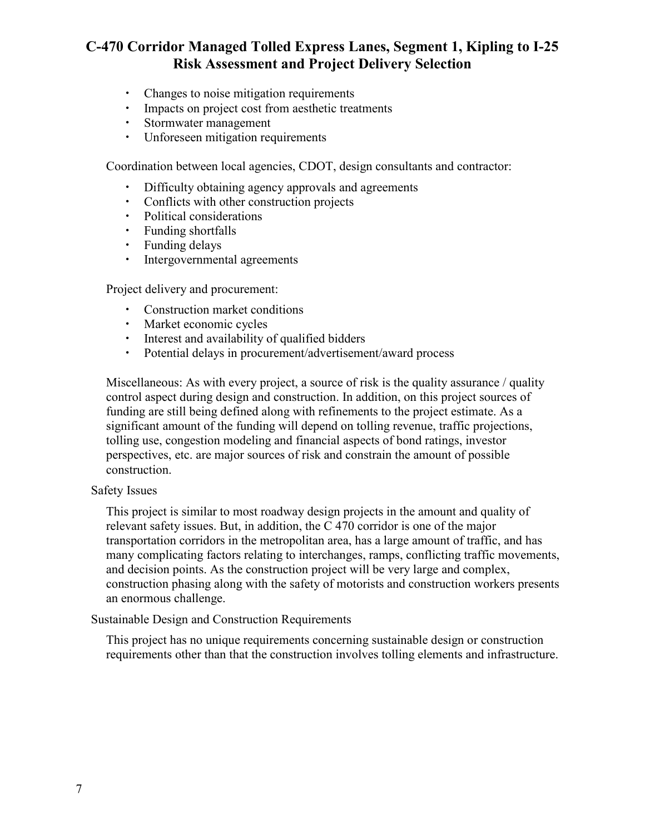- Changes to noise mitigation requirements
- Impacts on project cost from aesthetic treatments
- Stormwater management
- Unforeseen mitigation requirements

Coordination between local agencies, CDOT, design consultants and contractor:

- Difficulty obtaining agency approvals and agreements
- Conflicts with other construction projects
- Political considerations
- Funding shortfalls
- Funding delays
- Intergovernmental agreements

Project delivery and procurement:

- Construction market conditions
- Market economic cycles
- Interest and availability of qualified bidders
- Potential delays in procurement/advertisement/award process

Miscellaneous: As with every project, a source of risk is the quality assurance / quality control aspect during design and construction. In addition, on this project sources of funding are still being defined along with refinements to the project estimate. As a significant amount of the funding will depend on tolling revenue, traffic projections, tolling use, congestion modeling and financial aspects of bond ratings, investor perspectives, etc. are major sources of risk and constrain the amount of possible construction.

#### Safety Issues

This project is similar to most roadway design projects in the amount and quality of relevant safety issues. But, in addition, the C 470 corridor is one of the major transportation corridors in the metropolitan area, has a large amount of traffic, and has many complicating factors relating to interchanges, ramps, conflicting traffic movements, and decision points. As the construction project will be very large and complex, construction phasing along with the safety of motorists and construction workers presents an enormous challenge.

#### Sustainable Design and Construction Requirements

This project has no unique requirements concerning sustainable design or construction requirements other than that the construction involves tolling elements and infrastructure.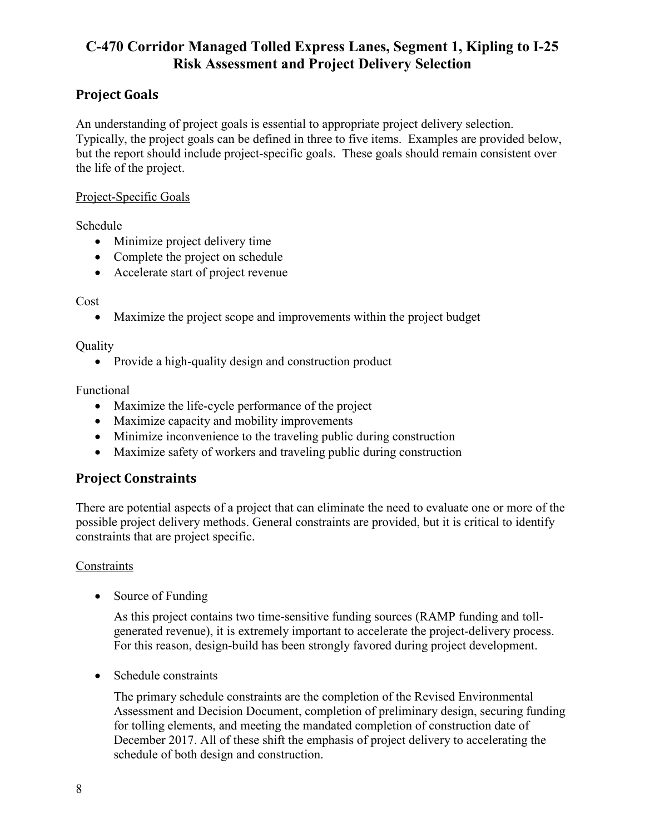## **Project Goals**

An understanding of project goals is essential to appropriate project delivery selection. Typically, the project goals can be defined in three to five items. Examples are provided below, but the report should include project-specific goals. These goals should remain consistent over the life of the project.

#### Project-Specific Goals

Schedule

- Minimize project delivery time
- Complete the project on schedule
- Accelerate start of project revenue

#### Cost

• Maximize the project scope and improvements within the project budget

**Quality** 

• Provide a high-quality design and construction product

Functional

- Maximize the life-cycle performance of the project
- Maximize capacity and mobility improvements
- Minimize inconvenience to the traveling public during construction
- Maximize safety of workers and traveling public during construction

## **Project Constraints**

There are potential aspects of a project that can eliminate the need to evaluate one or more of the possible project delivery methods. General constraints are provided, but it is critical to identify constraints that are project specific.

### Constraints

• Source of Funding

As this project contains two time-sensitive funding sources (RAMP funding and tollgenerated revenue), it is extremely important to accelerate the project-delivery process. For this reason, design-build has been strongly favored during project development.

• Schedule constraints

The primary schedule constraints are the completion of the Revised Environmental Assessment and Decision Document, completion of preliminary design, securing funding for tolling elements, and meeting the mandated completion of construction date of December 2017. All of these shift the emphasis of project delivery to accelerating the schedule of both design and construction.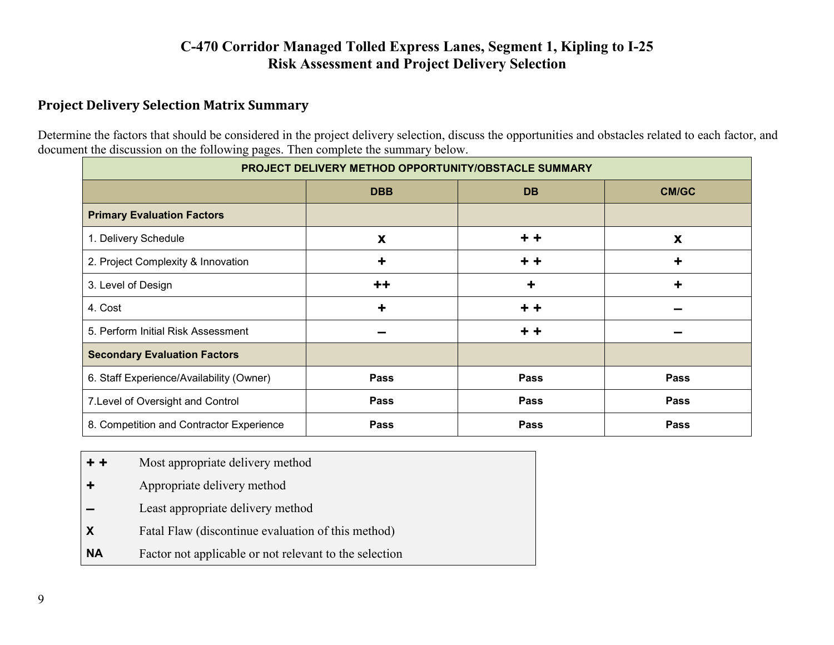### **Project Delivery Selection Matrix Summary**

Determine the factors that should be considered in the project delivery selection, discuss the opportunities and obstacles related to each factor, and document the discussion on the following pages. Then complete the summary below.

| PROJECT DELIVERY METHOD OPPORTUNITY/OBSTACLE SUMMARY |             |             |              |
|------------------------------------------------------|-------------|-------------|--------------|
|                                                      | <b>DBB</b>  | <b>DB</b>   | <b>CM/GC</b> |
| <b>Primary Evaluation Factors</b>                    |             |             |              |
| 1. Delivery Schedule                                 | X           | + +         | X            |
| 2. Project Complexity & Innovation                   | ٠           | $+ +$       | ╈            |
| 3. Level of Design                                   | ++          | ٠           | ╈            |
| 4. Cost                                              | ╈           | $+ +$       |              |
| 5. Perform Initial Risk Assessment                   |             | + +         |              |
| <b>Secondary Evaluation Factors</b>                  |             |             |              |
| 6. Staff Experience/Availability (Owner)             | <b>Pass</b> | <b>Pass</b> | Pass         |
| 7. Level of Oversight and Control                    | <b>Pass</b> | <b>Pass</b> | Pass         |
| 8. Competition and Contractor Experience             | <b>Pass</b> | <b>Pass</b> | <b>Pass</b>  |

- **+ +** Most appropriate delivery method
- **+** Appropriate delivery method
- **–** Least appropriate delivery method
- **X Fatal Flaw (discontinue evaluation of this method)**
- **NA** Factor not applicable or not relevant to the selection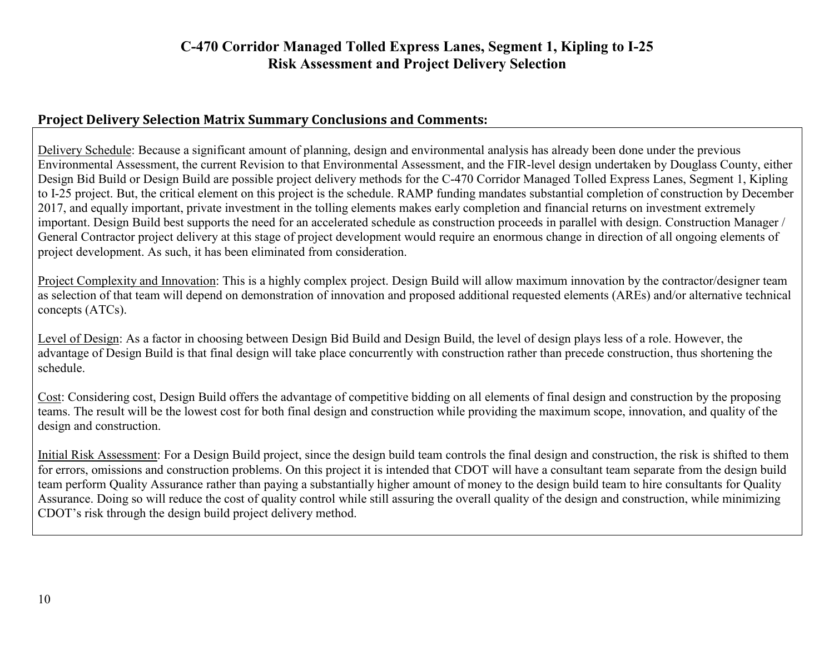### **Project Delivery Selection Matrix Summary Conclusions and Comments:**

Delivery Schedule: Because a significant amount of planning, design and environmental analysis has already been done under the previous Environmental Assessment, the current Revision to that Environmental Assessment, and the FIR-level design undertaken by Douglass County, either Design Bid Build or Design Build are possible project delivery methods for the C-470 Corridor Managed Tolled Express Lanes, Segment 1, Kipling to I-25 project. But, the critical element on this project is the schedule. RAMP funding mandates substantial completion of construction by December 2017, and equally important, private investment in the tolling elements makes early completion and financial returns on investment extremely important. Design Build best supports the need for an accelerated schedule as construction proceeds in parallel with design. Construction Manager / General Contractor project delivery at this stage of project development would require an enormous change in direction of all ongoing elements of project development. As such, it has been eliminated from consideration.

Project Complexity and Innovation: This is a highly complex project. Design Build will allow maximum innovation by the contractor/designer team as selection of that team will depend on demonstration of innovation and proposed additional requested elements (AREs) and/or alternative technical concepts (ATCs).

Level of Design: As a factor in choosing between Design Bid Build and Design Build, the level of design plays less of a role. However, the advantage of Design Build is that final design will take place concurrently with construction rather than precede construction, thus shortening the schedule.

Cost: Considering cost, Design Build offers the advantage of competitive bidding on all elements of final design and construction by the proposing teams. The result will be the lowest cost for both final design and construction while providing the maximum scope, innovation, and quality of the design and construction.

Initial Risk Assessment: For a Design Build project, since the design build team controls the final design and construction, the risk is shifted to them for errors, omissions and construction problems. On this project it is intended that CDOT will have a consultant team separate from the design build team perform Quality Assurance rather than paying a substantially higher amount of money to the design build team to hire consultants for Quality Assurance. Doing so will reduce the cost of quality control while still assuring the overall quality of the design and construction, while minimizing CDOT's risk through the design build project delivery method.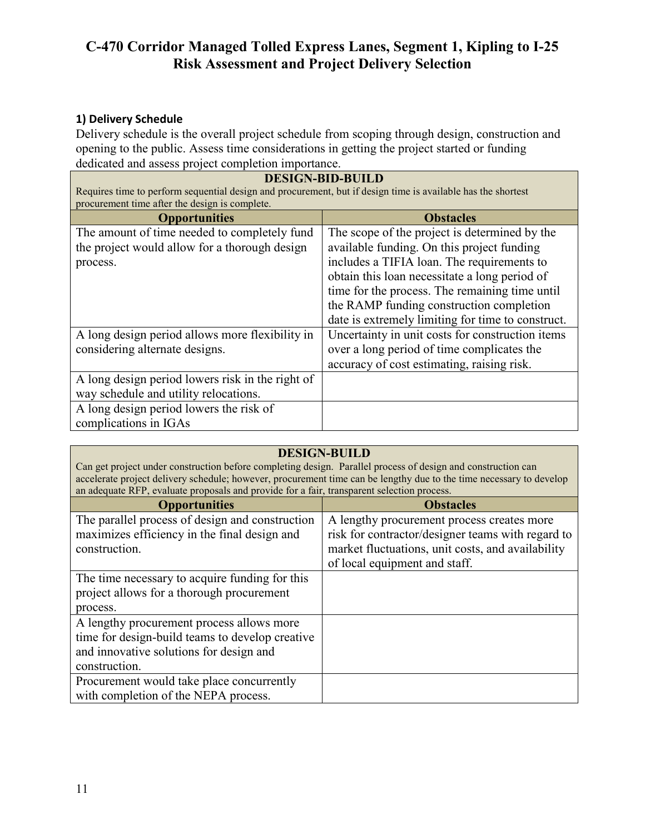### **1) Delivery Schedule**

Delivery schedule is the overall project schedule from scoping through design, construction and opening to the public. Assess time considerations in getting the project started or funding dedicated and assess project completion importance.

| <b>DESIGN-BID-BUILD</b>                                                                                      |                                                   |  |
|--------------------------------------------------------------------------------------------------------------|---------------------------------------------------|--|
| Requires time to perform sequential design and procurement, but if design time is available has the shortest |                                                   |  |
| procurement time after the design is complete.                                                               |                                                   |  |
| <b>Opportunities</b>                                                                                         | <b>Obstacles</b>                                  |  |
| The amount of time needed to completely fund                                                                 | The scope of the project is determined by the     |  |
| the project would allow for a thorough design                                                                | available funding. On this project funding        |  |
| process.                                                                                                     | includes a TIFIA loan. The requirements to        |  |
|                                                                                                              | obtain this loan necessitate a long period of     |  |
|                                                                                                              | time for the process. The remaining time until    |  |
|                                                                                                              | the RAMP funding construction completion          |  |
|                                                                                                              | date is extremely limiting for time to construct. |  |
| A long design period allows more flexibility in                                                              | Uncertainty in unit costs for construction items  |  |
| considering alternate designs.                                                                               | over a long period of time complicates the        |  |
|                                                                                                              | accuracy of cost estimating, raising risk.        |  |
| A long design period lowers risk in the right of                                                             |                                                   |  |
| way schedule and utility relocations.                                                                        |                                                   |  |
| A long design period lowers the risk of                                                                      |                                                   |  |
| complications in IGAs                                                                                        |                                                   |  |

### **DESIGN-BUILD**

Can get project under construction before completing design. Parallel process of design and construction can accelerate project delivery schedule; however, procurement time can be lengthy due to the time necessary to develop an adequate RFP, evaluate proposals and provide for a fair, transparent selection process.

| <b>Opportunities</b>                            | <b>Obstacles</b>                                  |  |
|-------------------------------------------------|---------------------------------------------------|--|
| The parallel process of design and construction | A lengthy procurement process creates more        |  |
| maximizes efficiency in the final design and    | risk for contractor/designer teams with regard to |  |
| construction.                                   | market fluctuations, unit costs, and availability |  |
|                                                 | of local equipment and staff.                     |  |
| The time necessary to acquire funding for this  |                                                   |  |
| project allows for a thorough procurement       |                                                   |  |
| process.                                        |                                                   |  |
| A lengthy procurement process allows more       |                                                   |  |
| time for design-build teams to develop creative |                                                   |  |
| and innovative solutions for design and         |                                                   |  |
| construction.                                   |                                                   |  |
| Procurement would take place concurrently       |                                                   |  |
| with completion of the NEPA process.            |                                                   |  |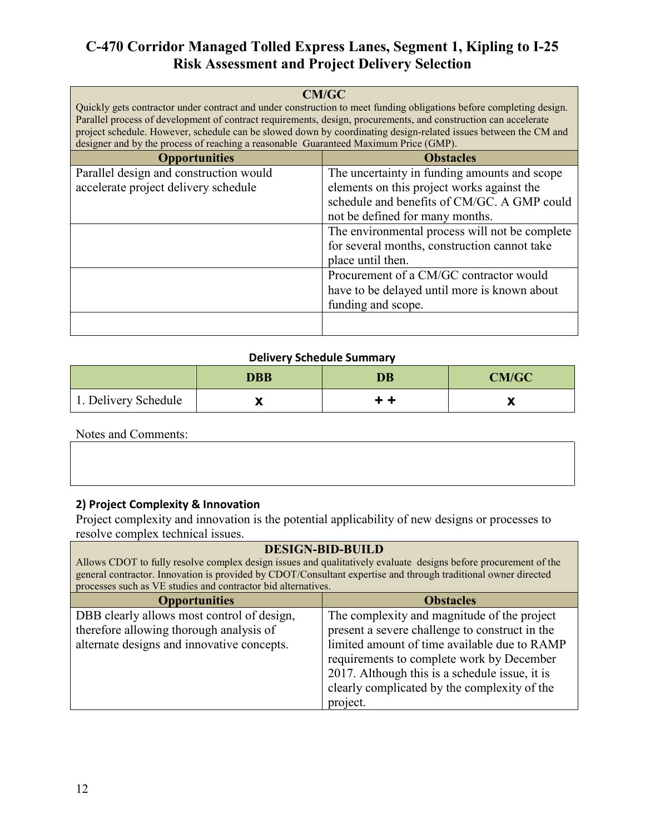| Parallel process of development of contract requirements, design, procurements, and construction can accelerate<br>designer and by the process of reaching a reasonable Guaranteed Maximum Price (GMP). | <b>CM/GC</b><br>Quickly gets contractor under contract and under construction to meet funding obligations before completing design.<br>project schedule. However, schedule can be slowed down by coordinating design-related issues between the CM and                                              |
|---------------------------------------------------------------------------------------------------------------------------------------------------------------------------------------------------------|-----------------------------------------------------------------------------------------------------------------------------------------------------------------------------------------------------------------------------------------------------------------------------------------------------|
| <b>Opportunities</b>                                                                                                                                                                                    | <b>Obstacles</b>                                                                                                                                                                                                                                                                                    |
| Parallel design and construction would<br>accelerate project delivery schedule                                                                                                                          | The uncertainty in funding amounts and scope<br>elements on this project works against the<br>schedule and benefits of CM/GC. A GMP could<br>not be defined for many months.<br>The environmental process will not be complete<br>for several months, construction cannot take<br>place until then. |
|                                                                                                                                                                                                         | Procurement of a CM/GC contractor would<br>have to be delayed until more is known about<br>funding and scope.                                                                                                                                                                                       |

#### **Delivery Schedule Summary**

|                      | <b>DBB</b> | DB  | CM/GC |
|----------------------|------------|-----|-------|
| 1. Delivery Schedule | -          | . . |       |

Notes and Comments:

### **2) Project Complexity & Innovation**

Project complexity and innovation is the potential applicability of new designs or processes to resolve complex technical issues.

| <b>DESIGN-BID-BUILD</b> |  |
|-------------------------|--|
|-------------------------|--|

Allows CDOT to fully resolve complex design issues and qualitatively evaluate designs before procurement of the general contractor. Innovation is provided by CDOT/Consultant expertise and through traditional owner directed processes such as VE studies and contractor bid alternatives.

| <b>Opportunities</b>                       | <b>Obstacles</b>                               |
|--------------------------------------------|------------------------------------------------|
| DBB clearly allows most control of design, | The complexity and magnitude of the project    |
| therefore allowing thorough analysis of    | present a severe challenge to construct in the |
| alternate designs and innovative concepts. | limited amount of time available due to RAMP   |
|                                            | requirements to complete work by December      |
|                                            | 2017. Although this is a schedule issue, it is |
|                                            | clearly complicated by the complexity of the   |
|                                            | project.                                       |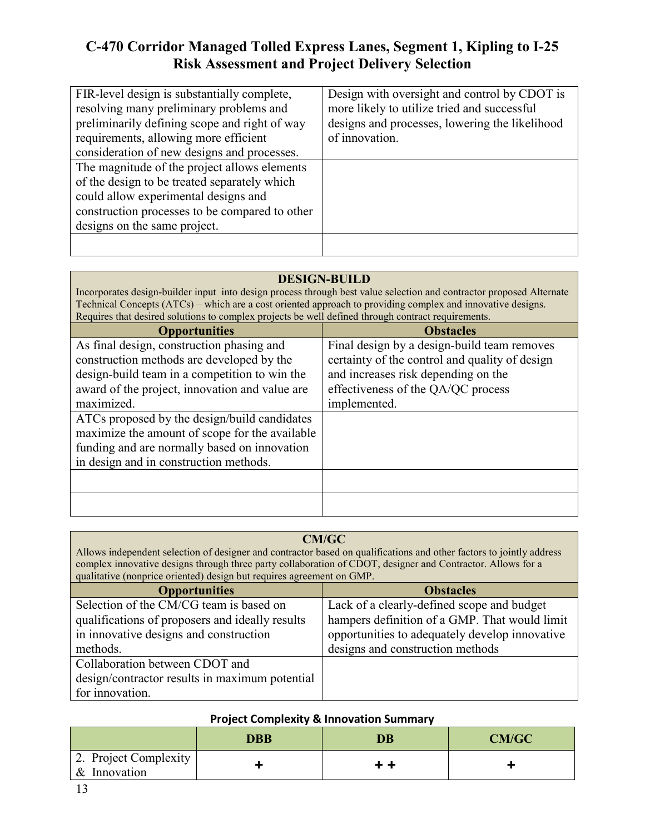| FIR-level design is substantially complete,    | Design with oversight and control by CDOT is   |
|------------------------------------------------|------------------------------------------------|
| resolving many preliminary problems and        | more likely to utilize tried and successful    |
| preliminarily defining scope and right of way  | designs and processes, lowering the likelihood |
| requirements, allowing more efficient          | of innovation.                                 |
| consideration of new designs and processes.    |                                                |
| The magnitude of the project allows elements   |                                                |
| of the design to be treated separately which   |                                                |
| could allow experimental designs and           |                                                |
| construction processes to be compared to other |                                                |
| designs on the same project.                   |                                                |
|                                                |                                                |

### **DESIGN-BUILD**

Incorporates design-builder input into design process through best value selection and contractor proposed Alternate Technical Concepts (ATCs) – which are a cost oriented approach to providing complex and innovative designs. Requires that desired solutions to complex projects be well defined through contract requirements.

| <b>Opportunities</b>                           | <b>Obstacles</b>                               |
|------------------------------------------------|------------------------------------------------|
| As final design, construction phasing and      | Final design by a design-build team removes    |
| construction methods are developed by the      | certainty of the control and quality of design |
| design-build team in a competition to win the  | and increases risk depending on the            |
| award of the project, innovation and value are | effectiveness of the QA/QC process             |
| maximized.                                     | implemented.                                   |
| ATCs proposed by the design/build candidates   |                                                |
| maximize the amount of scope for the available |                                                |
| funding and are normally based on innovation   |                                                |
| in design and in construction methods.         |                                                |
|                                                |                                                |
|                                                |                                                |
|                                                |                                                |

### **CM/GC**

Allows independent selection of designer and contractor based on qualifications and other factors to jointly address complex innovative designs through three party collaboration of CDOT, designer and Contractor. Allows for a qualitative (nonprice oriented) design but requires agreement on GMP.

| <b>Opportunities</b>                            | <b>Obstacles</b>                               |
|-------------------------------------------------|------------------------------------------------|
| Selection of the CM/CG team is based on         | Lack of a clearly-defined scope and budget     |
| qualifications of proposers and ideally results | hampers definition of a GMP. That would limit  |
| in innovative designs and construction          | opportunities to adequately develop innovative |
| methods.                                        | designs and construction methods               |
| Collaboration between CDOT and                  |                                                |
| design/contractor results in maximum potential  |                                                |
| for innovation.                                 |                                                |

#### **Project Complexity & Innovation Summary**

|                                       | DBB | <b>DB</b> | CM/GC |
|---------------------------------------|-----|-----------|-------|
| 2. Project Complexity<br>& Innovation |     |           |       |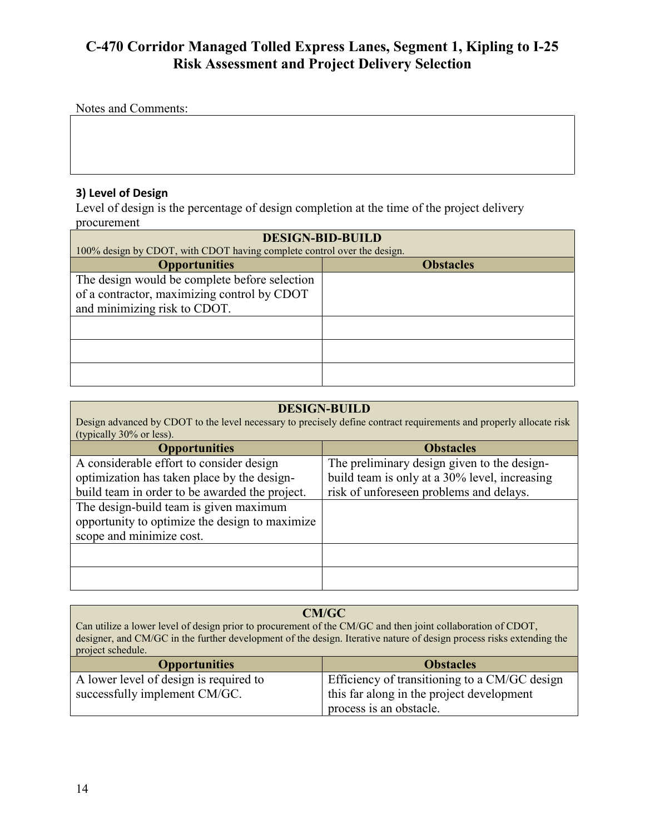Notes and Comments:

## **3) Level of Design**

Level of design is the percentage of design completion at the time of the project delivery procurement

| <b>DESIGN-BID-BUILD</b>                                                 |                  |  |
|-------------------------------------------------------------------------|------------------|--|
| 100% design by CDOT, with CDOT having complete control over the design. |                  |  |
| <b>Opportunities</b>                                                    | <b>Obstacles</b> |  |
| The design would be complete before selection                           |                  |  |
| of a contractor, maximizing control by CDOT                             |                  |  |
| and minimizing risk to CDOT.                                            |                  |  |
|                                                                         |                  |  |
|                                                                         |                  |  |
|                                                                         |                  |  |
|                                                                         |                  |  |
|                                                                         |                  |  |

#### **DESIGN-BUILD**

Design advanced by CDOT to the level necessary to precisely define contract requirements and properly allocate risk (typically 30% or less).

| <b>Opportunities</b>                           | <b>Obstacles</b>                              |
|------------------------------------------------|-----------------------------------------------|
| A considerable effort to consider design       | The preliminary design given to the design-   |
| optimization has taken place by the design-    | build team is only at a 30% level, increasing |
| build team in order to be awarded the project. | risk of unforeseen problems and delays.       |
| The design-build team is given maximum         |                                               |
| opportunity to optimize the design to maximize |                                               |
| scope and minimize cost.                       |                                               |
|                                                |                                               |
|                                                |                                               |
|                                                |                                               |
|                                                |                                               |

| CM/GC                                                                                                                |  |  |
|----------------------------------------------------------------------------------------------------------------------|--|--|
| Can utilize a lower level of design prior to procurement of the CM/GC and then joint collaboration of CDOT,          |  |  |
| designer, and CM/GC in the further development of the design. Iterative nature of design process risks extending the |  |  |
| project schedule.                                                                                                    |  |  |
|                                                                                                                      |  |  |

| <b>Opportunities</b>                   | <b>Obstacles</b>                              |
|----------------------------------------|-----------------------------------------------|
| A lower level of design is required to | Efficiency of transitioning to a CM/GC design |
| successfully implement CM/GC.          | this far along in the project development     |
|                                        | process is an obstacle.                       |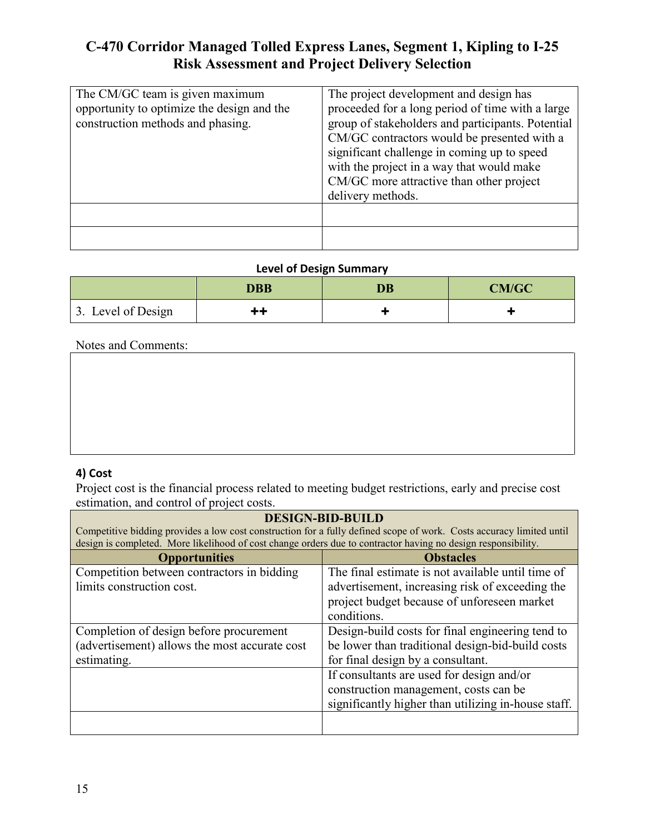| The CM/GC team is given maximum<br>opportunity to optimize the design and the<br>construction methods and phasing. | The project development and design has<br>proceeded for a long period of time with a large<br>group of stakeholders and participants. Potential<br>CM/GC contractors would be presented with a<br>significant challenge in coming up to speed<br>with the project in a way that would make<br>CM/GC more attractive than other project<br>delivery methods. |
|--------------------------------------------------------------------------------------------------------------------|-------------------------------------------------------------------------------------------------------------------------------------------------------------------------------------------------------------------------------------------------------------------------------------------------------------------------------------------------------------|
|                                                                                                                    |                                                                                                                                                                                                                                                                                                                                                             |

### **Level of Design Summary**

|                    | <b>DBB</b> | DB | CM/GC |
|--------------------|------------|----|-------|
| 3. Level of Design | 00         |    |       |

### Notes and Comments:

### **4) Cost**

Project cost is the financial process related to meeting budget restrictions, early and precise cost estimation, and control of project costs.

| <b>DESIGN-BID-BUILD</b>                                                                                              |                                                     |  |
|----------------------------------------------------------------------------------------------------------------------|-----------------------------------------------------|--|
| Competitive bidding provides a low cost construction for a fully defined scope of work. Costs accuracy limited until |                                                     |  |
| design is completed. More likelihood of cost change orders due to contractor having no design responsibility.        |                                                     |  |
| <b>Opportunities</b>                                                                                                 | <b>Obstacles</b>                                    |  |
| Competition between contractors in bidding                                                                           | The final estimate is not available until time of   |  |
| limits construction cost.                                                                                            | advertisement, increasing risk of exceeding the     |  |
|                                                                                                                      | project budget because of unforeseen market         |  |
|                                                                                                                      | conditions.                                         |  |
| Completion of design before procurement                                                                              | Design-build costs for final engineering tend to    |  |
| (advertisement) allows the most accurate cost                                                                        | be lower than traditional design-bid-build costs    |  |
| estimating.                                                                                                          | for final design by a consultant.                   |  |
|                                                                                                                      | If consultants are used for design and/or           |  |
|                                                                                                                      | construction management, costs can be               |  |
|                                                                                                                      | significantly higher than utilizing in-house staff. |  |
|                                                                                                                      |                                                     |  |
|                                                                                                                      |                                                     |  |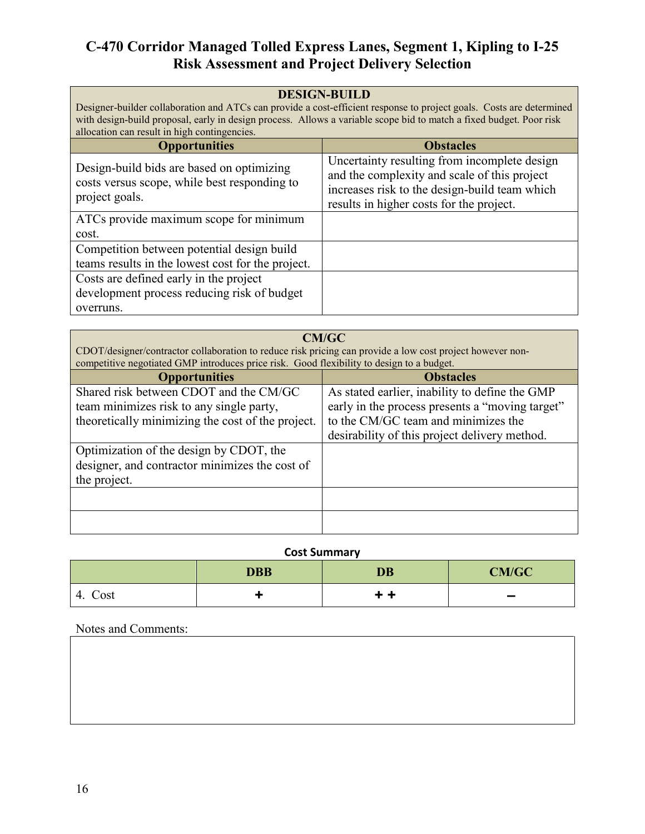| <b>DESIGN-BUILD</b><br>Designer-builder collaboration and ATCs can provide a cost-efficient response to project goals. Costs are determined<br>with design-build proposal, early in design process. Allows a variable scope bid to match a fixed budget. Poor risk<br>allocation can result in high contingencies. |                                                                                                                                                                                           |  |
|--------------------------------------------------------------------------------------------------------------------------------------------------------------------------------------------------------------------------------------------------------------------------------------------------------------------|-------------------------------------------------------------------------------------------------------------------------------------------------------------------------------------------|--|
| <b>Opportunities</b>                                                                                                                                                                                                                                                                                               | <b>Obstacles</b>                                                                                                                                                                          |  |
| Design-build bids are based on optimizing<br>costs versus scope, while best responding to<br>project goals.                                                                                                                                                                                                        | Uncertainty resulting from incomplete design<br>and the complexity and scale of this project<br>increases risk to the design-build team which<br>results in higher costs for the project. |  |
| ATCs provide maximum scope for minimum                                                                                                                                                                                                                                                                             |                                                                                                                                                                                           |  |
| cost.                                                                                                                                                                                                                                                                                                              |                                                                                                                                                                                           |  |
| Competition between potential design build                                                                                                                                                                                                                                                                         |                                                                                                                                                                                           |  |
| teams results in the lowest cost for the project.                                                                                                                                                                                                                                                                  |                                                                                                                                                                                           |  |
| Costs are defined early in the project                                                                                                                                                                                                                                                                             |                                                                                                                                                                                           |  |
| development process reducing risk of budget                                                                                                                                                                                                                                                                        |                                                                                                                                                                                           |  |
| overruns.                                                                                                                                                                                                                                                                                                          |                                                                                                                                                                                           |  |

| CM/GC<br>CDOT/designer/contractor collaboration to reduce risk pricing can provide a low cost project however non-<br>competitive negotiated GMP introduces price risk. Good flexibility to design to a budget. |                                                 |  |
|-----------------------------------------------------------------------------------------------------------------------------------------------------------------------------------------------------------------|-------------------------------------------------|--|
| <b>Opportunities</b>                                                                                                                                                                                            | <b>Obstacles</b>                                |  |
| Shared risk between CDOT and the CM/GC                                                                                                                                                                          | As stated earlier, inability to define the GMP  |  |
| team minimizes risk to any single party,                                                                                                                                                                        | early in the process presents a "moving target" |  |
| theoretically minimizing the cost of the project.                                                                                                                                                               | to the CM/GC team and minimizes the             |  |
|                                                                                                                                                                                                                 | desirability of this project delivery method.   |  |
| Optimization of the design by CDOT, the                                                                                                                                                                         |                                                 |  |
| designer, and contractor minimizes the cost of                                                                                                                                                                  |                                                 |  |
| the project.                                                                                                                                                                                                    |                                                 |  |
|                                                                                                                                                                                                                 |                                                 |  |
|                                                                                                                                                                                                                 |                                                 |  |

### **Cost Summary**

|            | <b>DBB</b> | <b>DB</b> | <b>CM/GC</b>             |
|------------|------------|-----------|--------------------------|
| Cost<br>4. |            |           | $\overline{\phantom{a}}$ |

# Notes and Comments: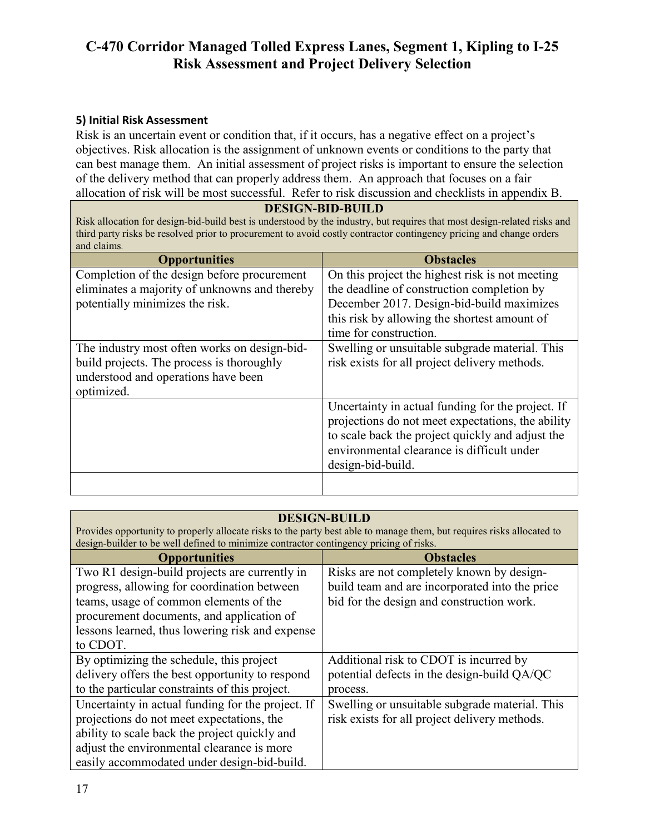### **5) Initial Risk Assessment**

Risk is an uncertain event or condition that, if it occurs, has a negative effect on a project's objectives. Risk allocation is the assignment of unknown events or conditions to the party that can best manage them. An initial assessment of project risks is important to ensure the selection of the delivery method that can properly address them. An approach that focuses on a fair allocation of risk will be most successful. Refer to risk discussion and checklists in appendix B.

#### **DESIGN-BID-BUILD**

Risk allocation for design-bid-build best is understood by the industry, but requires that most design-related risks and third party risks be resolved prior to procurement to avoid costly contractor contingency pricing and change orders and claims.

| <b>Opportunities</b>                          | <b>Obstacles</b>                                                                                                                                                                                                              |
|-----------------------------------------------|-------------------------------------------------------------------------------------------------------------------------------------------------------------------------------------------------------------------------------|
| Completion of the design before procurement   | On this project the highest risk is not meeting                                                                                                                                                                               |
| eliminates a majority of unknowns and thereby | the deadline of construction completion by                                                                                                                                                                                    |
| potentially minimizes the risk.               | December 2017. Design-bid-build maximizes                                                                                                                                                                                     |
|                                               | this risk by allowing the shortest amount of                                                                                                                                                                                  |
|                                               | time for construction.                                                                                                                                                                                                        |
| The industry most often works on design-bid-  | Swelling or unsuitable subgrade material. This                                                                                                                                                                                |
| build projects. The process is thoroughly     | risk exists for all project delivery methods.                                                                                                                                                                                 |
| understood and operations have been           |                                                                                                                                                                                                                               |
| optimized.                                    |                                                                                                                                                                                                                               |
|                                               | Uncertainty in actual funding for the project. If<br>projections do not meet expectations, the ability<br>to scale back the project quickly and adjust the<br>environmental clearance is difficult under<br>design-bid-build. |
|                                               |                                                                                                                                                                                                                               |

### **DESIGN-BUILD**

Provides opportunity to properly allocate risks to the party best able to manage them, but requires risks allocated to design-builder to be well defined to minimize contractor contingency pricing of risks.

| <b>Opportunities</b>                              | <b>Obstacles</b>                               |
|---------------------------------------------------|------------------------------------------------|
| Two R1 design-build projects are currently in     | Risks are not completely known by design-      |
| progress, allowing for coordination between       | build team and are incorporated into the price |
| teams, usage of common elements of the            | bid for the design and construction work.      |
| procurement documents, and application of         |                                                |
| lessons learned, thus lowering risk and expense   |                                                |
| to CDOT.                                          |                                                |
| By optimizing the schedule, this project          | Additional risk to CDOT is incurred by         |
| delivery offers the best opportunity to respond   | potential defects in the design-build QA/QC    |
| to the particular constraints of this project.    | process.                                       |
| Uncertainty in actual funding for the project. If | Swelling or unsuitable subgrade material. This |
| projections do not meet expectations, the         | risk exists for all project delivery methods.  |
| ability to scale back the project quickly and     |                                                |
| adjust the environmental clearance is more        |                                                |
| easily accommodated under design-bid-build.       |                                                |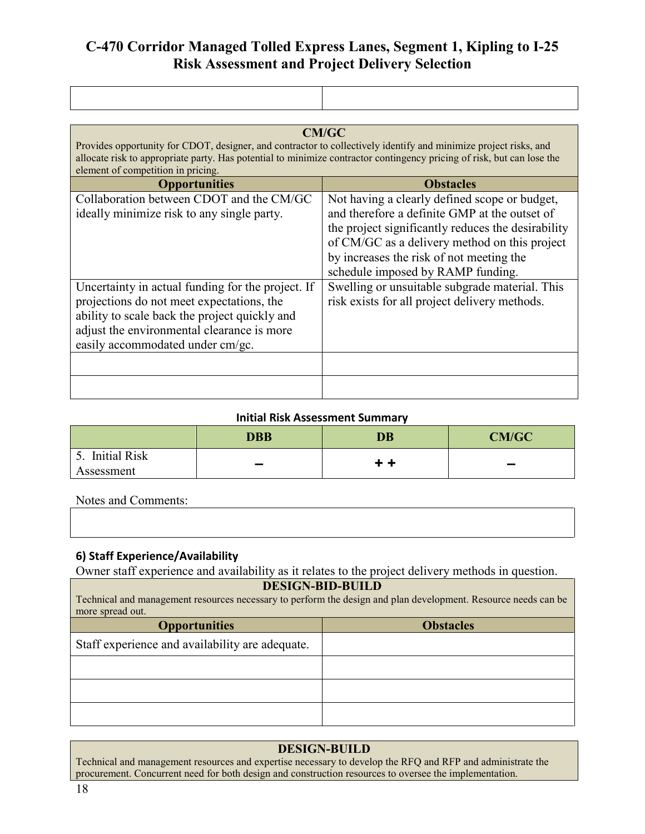| CM/GC<br>Provides opportunity for CDOT, designer, and contractor to collectively identify and minimize project risks, and<br>allocate risk to appropriate party. Has potential to minimize contractor contingency pricing of risk, but can lose the<br>element of competition in pricing.<br><b>Opportunities</b><br><b>Obstacles</b> |                                                                                                                                                                                                                                                                                        |  |  |
|---------------------------------------------------------------------------------------------------------------------------------------------------------------------------------------------------------------------------------------------------------------------------------------------------------------------------------------|----------------------------------------------------------------------------------------------------------------------------------------------------------------------------------------------------------------------------------------------------------------------------------------|--|--|
| Collaboration between CDOT and the CM/GC<br>ideally minimize risk to any single party.                                                                                                                                                                                                                                                | Not having a clearly defined scope or budget,<br>and therefore a definite GMP at the outset of<br>the project significantly reduces the desirability<br>of CM/GC as a delivery method on this project<br>by increases the risk of not meeting the<br>schedule imposed by RAMP funding. |  |  |
| Uncertainty in actual funding for the project. If<br>projections do not meet expectations, the<br>ability to scale back the project quickly and<br>adjust the environmental clearance is more<br>easily accommodated under cm/gc.                                                                                                     | Swelling or unsuitable subgrade material. This<br>risk exists for all project delivery methods.                                                                                                                                                                                        |  |  |
|                                                                                                                                                                                                                                                                                                                                       |                                                                                                                                                                                                                                                                                        |  |  |

#### **Initial Risk Assessment Summary**

|                                         | <b>DBB</b> | DB  | <b>CM/GC</b> |
|-----------------------------------------|------------|-----|--------------|
| <b>Initial Risk</b><br>5.<br>Assessment | -          | + + |              |

Notes and Comments:

### **6) Staff Experience/Availability**

Owner staff experience and availability as it relates to the project delivery methods in question.

### **DESIGN-BID-BUILD**

Technical and management resources necessary to perform the design and plan development. Resource needs can be more spread out.

| <b>Opportunities</b>                            | <b>Obstacles</b> |
|-------------------------------------------------|------------------|
| Staff experience and availability are adequate. |                  |
|                                                 |                  |
|                                                 |                  |
|                                                 |                  |

### **DESIGN-BUILD**

Technical and management resources and expertise necessary to develop the RFQ and RFP and administrate the procurement. Concurrent need for both design and construction resources to oversee the implementation.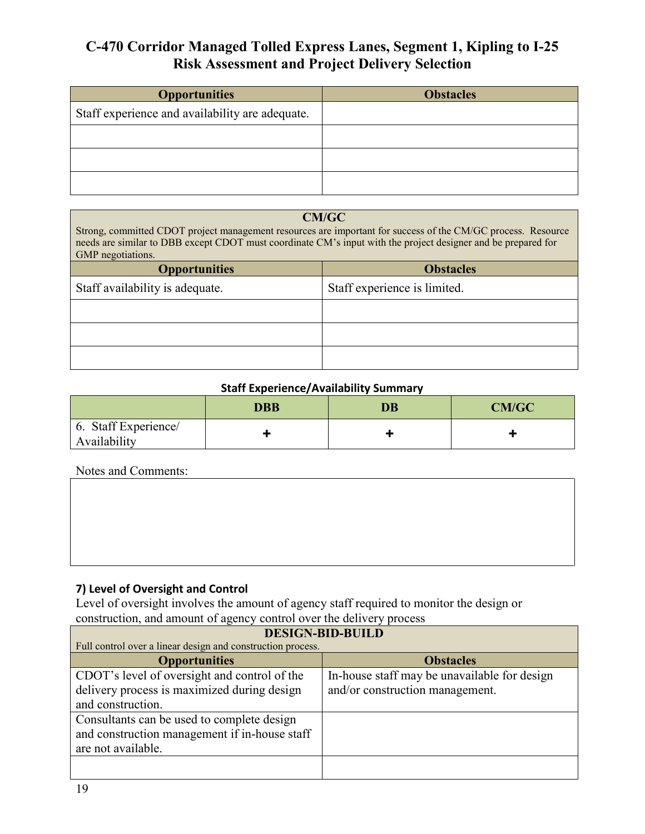| <b>Opportunities</b>                            | <b>Obstacles</b> |
|-------------------------------------------------|------------------|
| Staff experience and availability are adequate. |                  |
|                                                 |                  |
|                                                 |                  |
|                                                 |                  |

#### **CM/GC**

Strong, committed CDOT project management resources are important for success of the CM/GC process. Resource needs are similar to DBB except CDOT must coordinate CM's input with the project designer and be prepared for GMP negotiations.

| <b>Opportunities</b>            | <b>Obstacles</b>             |
|---------------------------------|------------------------------|
| Staff availability is adequate. | Staff experience is limited. |
|                                 |                              |
|                                 |                              |
|                                 |                              |

#### **Staff Experience/Availability Summary**

|                                      | <b>DBB</b> | DB | <b>CM/GC</b> |
|--------------------------------------|------------|----|--------------|
| 6. Staff Experience/<br>Availability |            |    |              |

Notes and Comments:

### **7) Level of Oversight and Control**

Level of oversight involves the amount of agency staff required to monitor the design or construction, and amount of agency control over the delivery process

| <b>DESIGN-BID-BUILD</b>                      |  |
|----------------------------------------------|--|
|                                              |  |
| <b>Obstacles</b>                             |  |
| In-house staff may be unavailable for design |  |
| and/or construction management.              |  |
|                                              |  |
|                                              |  |
|                                              |  |
|                                              |  |
|                                              |  |
|                                              |  |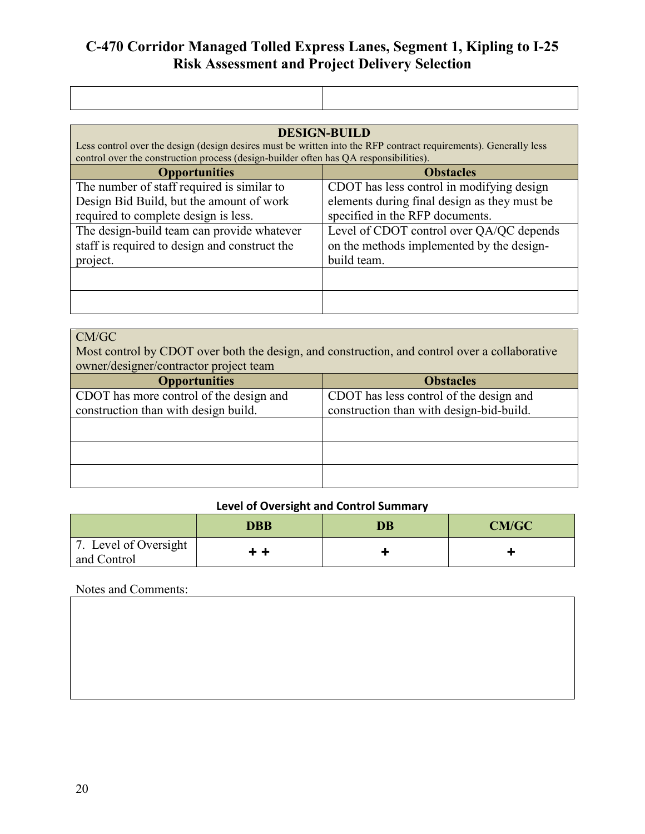| <b>DESIGN-BUILD</b>                                                                                              |                                              |  |
|------------------------------------------------------------------------------------------------------------------|----------------------------------------------|--|
| Less control over the design (design desires must be written into the RFP contract requirements). Generally less |                                              |  |
| control over the construction process (design-builder often has QA responsibilities).                            |                                              |  |
| <b>Opportunities</b><br><b>Obstacles</b>                                                                         |                                              |  |
| The number of staff required is similar to                                                                       | CDOT has less control in modifying design    |  |
| Design Bid Build, but the amount of work                                                                         | elements during final design as they must be |  |
| specified in the RFP documents.<br>required to complete design is less.                                          |                                              |  |
| The design-build team can provide whatever                                                                       | Level of CDOT control over QA/QC depends     |  |
| staff is required to design and construct the                                                                    | on the methods implemented by the design-    |  |
| project.                                                                                                         | build team.                                  |  |
|                                                                                                                  |                                              |  |
|                                                                                                                  |                                              |  |
|                                                                                                                  |                                              |  |
|                                                                                                                  |                                              |  |

### CM/GC

Most control by CDOT over both the design, and construction, and control over a collaborative owner/designer/contractor project team

| <b>Opportunities</b>                    | <b>Obstacles</b>                         |
|-----------------------------------------|------------------------------------------|
| CDOT has more control of the design and | CDOT has less control of the design and  |
| construction than with design build.    | construction than with design-bid-build. |
|                                         |                                          |
|                                         |                                          |
|                                         |                                          |
|                                         |                                          |
|                                         |                                          |

### **Level of Oversight and Control Summary**

|                                      | <b>DBB</b> | DB | <b>CM/GC</b> |
|--------------------------------------|------------|----|--------------|
| 7. Level of Oversight<br>and Control | . .        |    |              |

### Notes and Comments: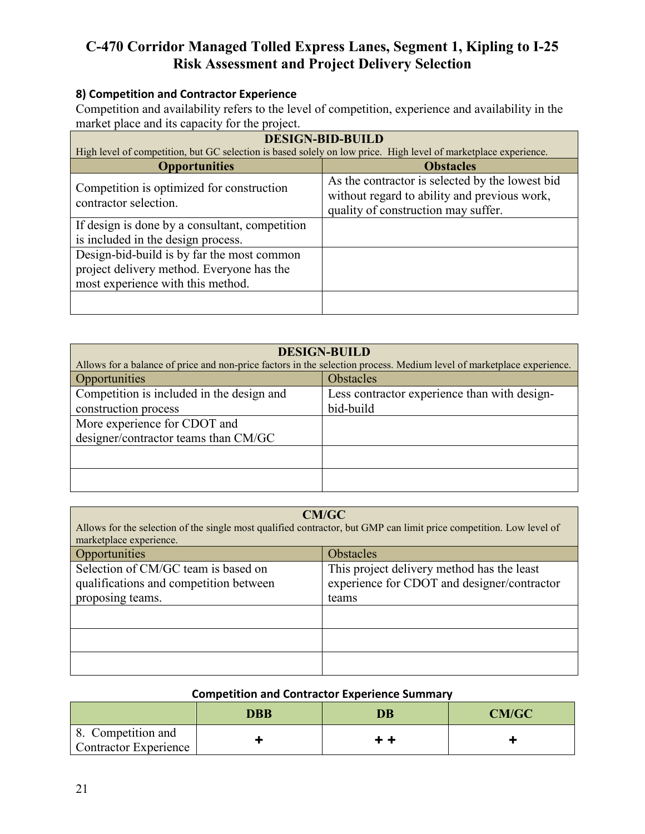### **8) Competition and Contractor Experience**

Competition and availability refers to the level of competition, experience and availability in the market place and its capacity for the project.

| <b>DESIGN-BID-BUILD</b>                                                                                         |                                                                                                                                        |  |
|-----------------------------------------------------------------------------------------------------------------|----------------------------------------------------------------------------------------------------------------------------------------|--|
| High level of competition, but GC selection is based solely on low price. High level of marketplace experience. |                                                                                                                                        |  |
| <b>Opportunities</b>                                                                                            | <b>Obstacles</b>                                                                                                                       |  |
| Competition is optimized for construction<br>contractor selection.                                              | As the contractor is selected by the lowest bid<br>without regard to ability and previous work,<br>quality of construction may suffer. |  |
| If design is done by a consultant, competition                                                                  |                                                                                                                                        |  |
| is included in the design process.                                                                              |                                                                                                                                        |  |
| Design-bid-build is by far the most common                                                                      |                                                                                                                                        |  |
| project delivery method. Everyone has the                                                                       |                                                                                                                                        |  |
| most experience with this method.                                                                               |                                                                                                                                        |  |
|                                                                                                                 |                                                                                                                                        |  |

| <b>DESIGN-BUILD</b><br>Allows for a balance of price and non-price factors in the selection process. Medium level of marketplace experience. |                                              |  |
|----------------------------------------------------------------------------------------------------------------------------------------------|----------------------------------------------|--|
| Opportunities                                                                                                                                | <b>Obstacles</b>                             |  |
| Competition is included in the design and                                                                                                    | Less contractor experience than with design- |  |
| construction process                                                                                                                         | bid-build                                    |  |
| More experience for CDOT and                                                                                                                 |                                              |  |
| designer/contractor teams than CM/GC                                                                                                         |                                              |  |
|                                                                                                                                              |                                              |  |
|                                                                                                                                              |                                              |  |

| <b>CM/GC</b><br>Allows for the selection of the single most qualified contractor, but GMP can limit price competition. Low level of |                                                                                                    |
|-------------------------------------------------------------------------------------------------------------------------------------|----------------------------------------------------------------------------------------------------|
| marketplace experience.                                                                                                             |                                                                                                    |
| Opportunities                                                                                                                       | <b>Obstacles</b>                                                                                   |
| Selection of CM/GC team is based on<br>qualifications and competition between<br>proposing teams.                                   | This project delivery method has the least<br>experience for CDOT and designer/contractor<br>teams |
|                                                                                                                                     |                                                                                                    |
|                                                                                                                                     |                                                                                                    |
|                                                                                                                                     |                                                                                                    |

### **Competition and Contractor Experience Summary**

|                                                    | <b>DBB</b> | $\overline{\text{DB}}$ | CM/GC |
|----------------------------------------------------|------------|------------------------|-------|
| 8. Competition and<br><b>Contractor Experience</b> |            |                        |       |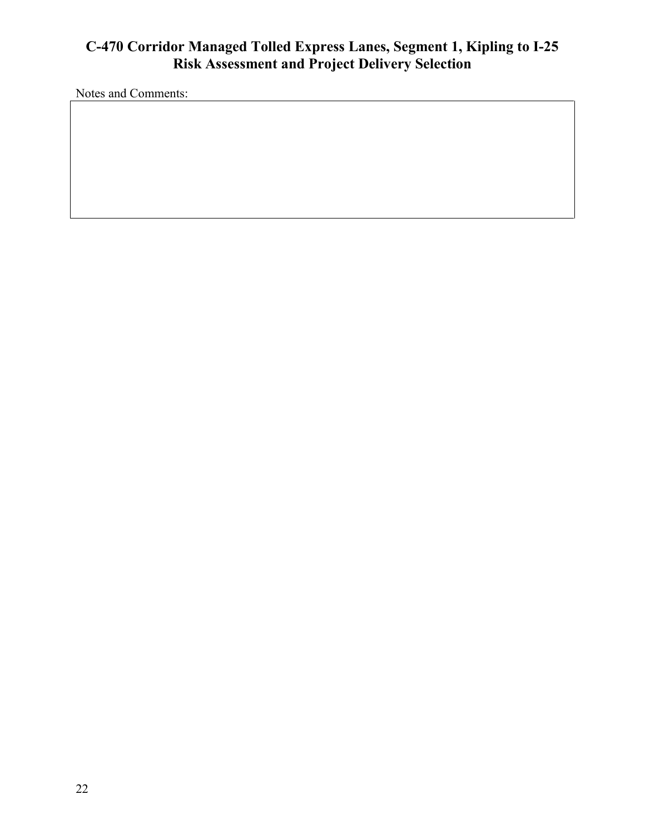Notes and Comments: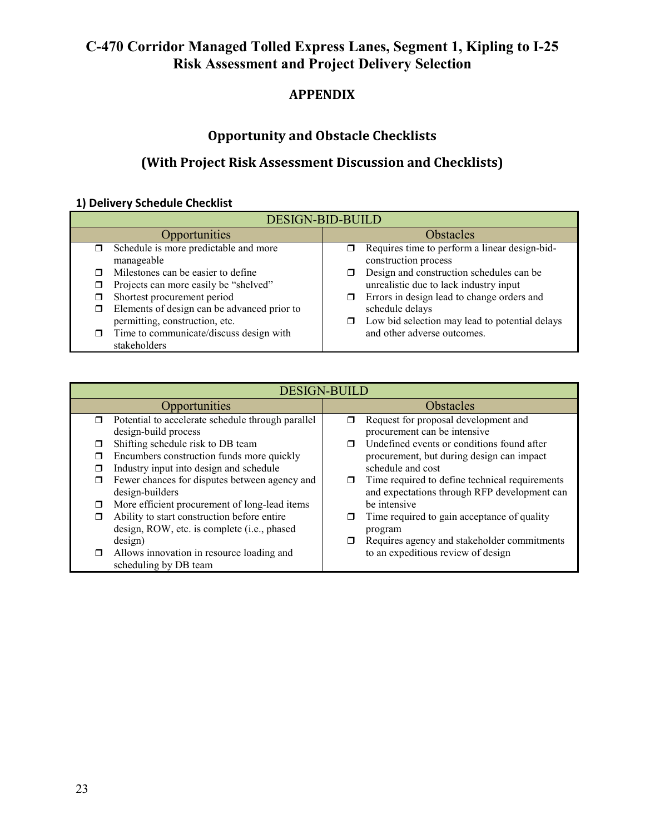## **APPENDIX**

# **Opportunity and Obstacle Checklists**

## **(With Project Risk Assessment Discussion and Checklists)**

### **1) Delivery Schedule Checklist**

| <b>DESIGN-BID-BUILD</b>                                                                                                                                                                                                                                |                                                                                                                                                                                                                                                      |  |
|--------------------------------------------------------------------------------------------------------------------------------------------------------------------------------------------------------------------------------------------------------|------------------------------------------------------------------------------------------------------------------------------------------------------------------------------------------------------------------------------------------------------|--|
| Opportunities                                                                                                                                                                                                                                          | <b>Obstacles</b>                                                                                                                                                                                                                                     |  |
| Schedule is more predictable and more<br>manageable                                                                                                                                                                                                    | Requires time to perform a linear design-bid-<br>construction process                                                                                                                                                                                |  |
| Milestones can be easier to define<br>Projects can more easily be "shelved"<br>Shortest procurement period<br>Elements of design can be advanced prior to<br>permitting, construction, etc.<br>Time to communicate/discuss design with<br>stakeholders | Design and construction schedules can be<br>⊓<br>unrealistic due to lack industry input<br>Errors in design lead to change orders and<br>□<br>schedule delays<br>Low bid selection may lead to potential delays<br>ο.<br>and other adverse outcomes. |  |

|        | <b>DESIGN-BUILD</b>                               |   |                                                |
|--------|---------------------------------------------------|---|------------------------------------------------|
|        | Opportunities                                     |   | <b>Obstacles</b>                               |
| $\Box$ | Potential to accelerate schedule through parallel |   | Request for proposal development and           |
|        | design-build process                              |   | procurement can be intensive                   |
| ⊓      | Shifting schedule risk to DB team                 |   | Undefined events or conditions found after     |
| ⊓      | Encumbers construction funds more quickly         |   | procurement, but during design can impact      |
| П      | Industry input into design and schedule           |   | schedule and cost                              |
| $\Box$ | Fewer chances for disputes between agency and     | σ | Time required to define technical requirements |
|        | design-builders                                   |   | and expectations through RFP development can   |
| ⊓      | More efficient procurement of long-lead items     |   | be intensive                                   |
| Ω      | Ability to start construction before entire       |   | Time required to gain acceptance of quality    |
|        | design, ROW, etc. is complete (i.e., phased       |   | program                                        |
|        | design)                                           |   | Requires agency and stakeholder commitments    |
| $\Box$ | Allows innovation in resource loading and         |   | to an expeditious review of design             |
|        | scheduling by DB team                             |   |                                                |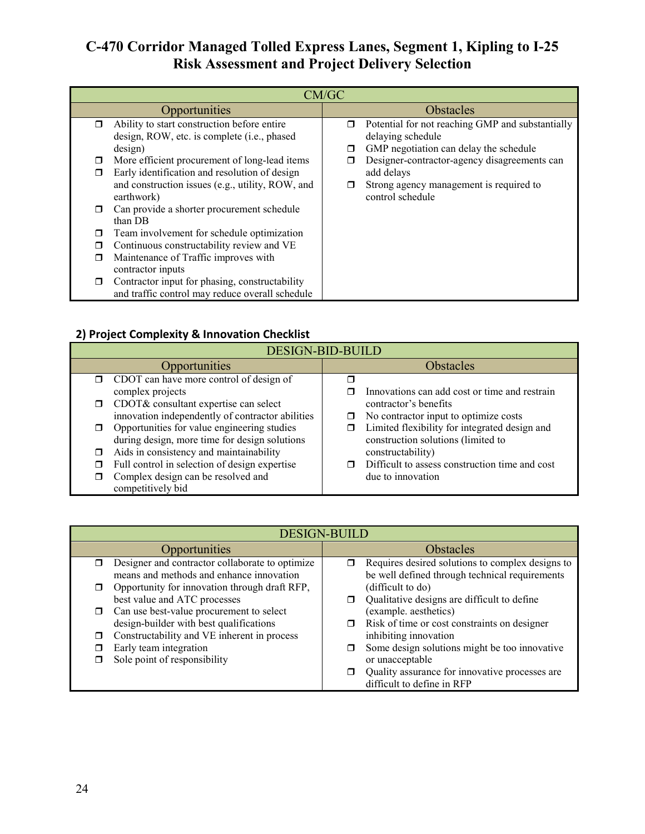|   | CM/GC                                            |        |                                                  |
|---|--------------------------------------------------|--------|--------------------------------------------------|
|   | Opportunities                                    |        | <b>Obstacles</b>                                 |
| □ | Ability to start construction before entire      | Ω.     | Potential for not reaching GMP and substantially |
|   | design, ROW, etc. is complete (i.e., phased      |        | delaying schedule                                |
|   | design)                                          | $\Box$ | GMP negotiation can delay the schedule           |
| ◻ | More efficient procurement of long-lead items    |        | Designer-contractor-agency disagreements can     |
| π | Early identification and resolution of design    |        | add delays                                       |
|   | and construction issues (e.g., utility, ROW, and | σ      | Strong agency management is required to          |
|   | earthwork)                                       |        | control schedule                                 |
| σ | Can provide a shorter procurement schedule       |        |                                                  |
|   | than DB                                          |        |                                                  |
| □ | Team involvement for schedule optimization       |        |                                                  |
| ◘ | Continuous constructability review and VE        |        |                                                  |
| σ | Maintenance of Traffic improves with             |        |                                                  |
|   | contractor inputs                                |        |                                                  |
| σ | Contractor input for phasing, constructability   |        |                                                  |
|   | and traffic control may reduce overall schedule  |        |                                                  |

# **2) Project Complexity & Innovation Checklist**

| <b>DESIGN-BID-BUILD</b>                          |                                                     |  |
|--------------------------------------------------|-----------------------------------------------------|--|
| Opportunities                                    | <b>Obstacles</b>                                    |  |
| $\Box$ CDOT can have more control of design of   |                                                     |  |
| complex projects                                 | Innovations can add cost or time and restrain       |  |
| CDOT& consultant expertise can select            | contractor's benefits                               |  |
| innovation independently of contractor abilities | No contractor input to optimize costs<br>□          |  |
| Opportunities for value engineering studies      | Limited flexibility for integrated design and<br>σ  |  |
| during design, more time for design solutions    | construction solutions (limited to                  |  |
| Aids in consistency and maintainability          | constructability)                                   |  |
| Full control in selection of design expertise    | Difficult to assess construction time and cost<br>Π |  |
| Complex design can be resolved and               | due to innovation                                   |  |
| competitively bid                                |                                                     |  |

|        | <b>DESIGN-BUILD</b>                                                                         |   |                                                                                                    |
|--------|---------------------------------------------------------------------------------------------|---|----------------------------------------------------------------------------------------------------|
|        | Opportunities                                                                               |   | <b>Obstacles</b>                                                                                   |
| $\Box$ | Designer and contractor collaborate to optimize<br>means and methods and enhance innovation | σ | Requires desired solutions to complex designs to<br>be well defined through technical requirements |
|        | Opportunity for innovation through draft RFP,                                               |   | (difficult to do)                                                                                  |
|        | best value and ATC processes                                                                |   | Qualitative designs are difficult to define                                                        |
| $\Box$ | Can use best-value procurement to select                                                    |   | (example. aesthetics)                                                                              |
|        | design-builder with best qualifications                                                     |   | Risk of time or cost constraints on designer                                                       |
|        | Constructability and VE inherent in process                                                 |   | inhibiting innovation                                                                              |
|        | Early team integration                                                                      |   | Some design solutions might be too innovative                                                      |
|        | Sole point of responsibility                                                                |   | or unacceptable                                                                                    |
|        |                                                                                             |   | Quality assurance for innovative processes are                                                     |
|        |                                                                                             |   | difficult to define in RFP                                                                         |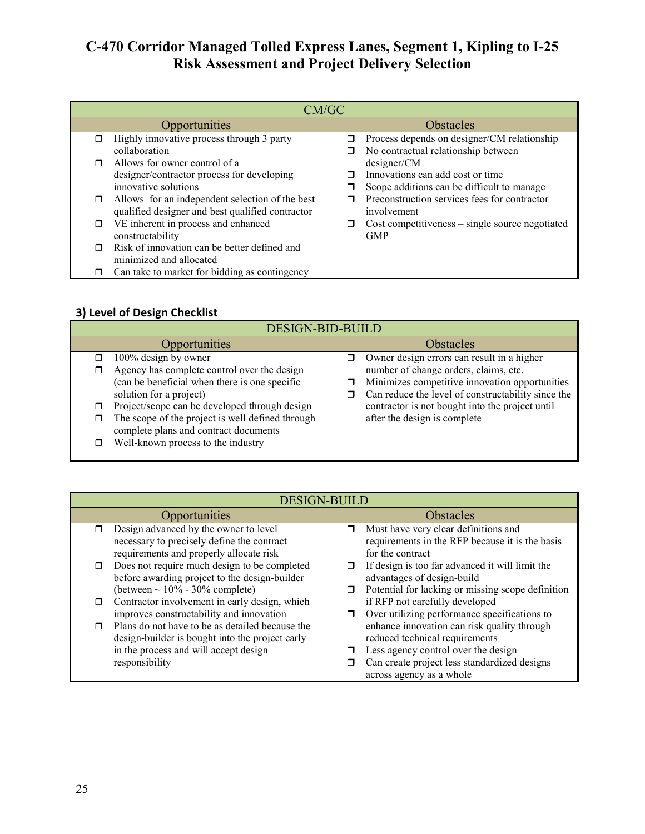|        | CM/GC                                            |   |                                                 |
|--------|--------------------------------------------------|---|-------------------------------------------------|
|        | <b>Opportunities</b>                             |   | <b>Obstacles</b>                                |
|        | Highly innovative process through 3 party        | □ | Process depends on designer/CM relationship     |
|        | collaboration                                    |   | No contractual relationship between             |
|        | Allows for owner control of a                    |   | designer/CM                                     |
|        | designer/contractor process for developing       |   | Innovations can add cost or time                |
|        | innovative solutions                             |   | Scope additions can be difficult to manage      |
| $\Box$ | Allows for an independent selection of the best  |   | Preconstruction services fees for contractor    |
|        | qualified designer and best qualified contractor |   | involvement                                     |
| $\Box$ | VE inherent in process and enhanced              |   | Cost competitiveness - single source negotiated |
|        | constructability                                 |   | <b>GMP</b>                                      |
|        | Risk of innovation can be better defined and     |   |                                                 |
|        | minimized and allocated                          |   |                                                 |
|        | Can take to market for bidding as contingency    |   |                                                 |

## **3) Level of Design Checklist**

| <b>DESIGN-BID-BUILD</b>                                                                                                                                                                                                                                                                                                                            |                                                                                                                                                                                                                                                                                     |  |
|----------------------------------------------------------------------------------------------------------------------------------------------------------------------------------------------------------------------------------------------------------------------------------------------------------------------------------------------------|-------------------------------------------------------------------------------------------------------------------------------------------------------------------------------------------------------------------------------------------------------------------------------------|--|
| <b>Opportunities</b>                                                                                                                                                                                                                                                                                                                               | <b>Obstacles</b>                                                                                                                                                                                                                                                                    |  |
| 100% design by owner<br>Agency has complete control over the design<br>□<br>(can be beneficial when there is one specific<br>solution for a project)<br>Project/scope can be developed through design<br>□<br>The scope of the project is well defined through<br>⊓<br>complete plans and contract documents<br>Well-known process to the industry | Owner design errors can result in a higher<br>number of change orders, claims, etc.<br>Minimizes competitive innovation opportunities<br>Can reduce the level of constructability since the<br>⊓<br>contractor is not bought into the project until<br>after the design is complete |  |

| <b>DESIGN-BUILD</b>                                                                                                                            |                                                                                                                                         |  |
|------------------------------------------------------------------------------------------------------------------------------------------------|-----------------------------------------------------------------------------------------------------------------------------------------|--|
| <b>Opportunities</b>                                                                                                                           | <b>Obstacles</b>                                                                                                                        |  |
| Design advanced by the owner to level<br>necessary to precisely define the contract<br>requirements and properly allocate risk                 | Must have very clear definitions and<br>⊓<br>requirements in the RFP because it is the basis<br>for the contract                        |  |
| Does not require much design to be completed<br>before awarding project to the design-builder                                                  | If design is too far advanced it will limit the<br>$\Box$<br>advantages of design-build                                                 |  |
| (between $\sim 10\%$ - 30% complete)<br>Contractor involvement in early design, which<br>⊓                                                     | Potential for lacking or missing scope definition<br>$\Box$<br>if RFP not carefully developed                                           |  |
| improves constructability and innovation<br>Plans do not have to be as detailed because the<br>design-builder is bought into the project early | Over utilizing performance specifications to<br>$\Box$<br>enhance innovation can risk quality through<br>reduced technical requirements |  |
| in the process and will accept design<br>responsibility                                                                                        | Less agency control over the design<br>Can create project less standardized designs<br>across agency as a whole                         |  |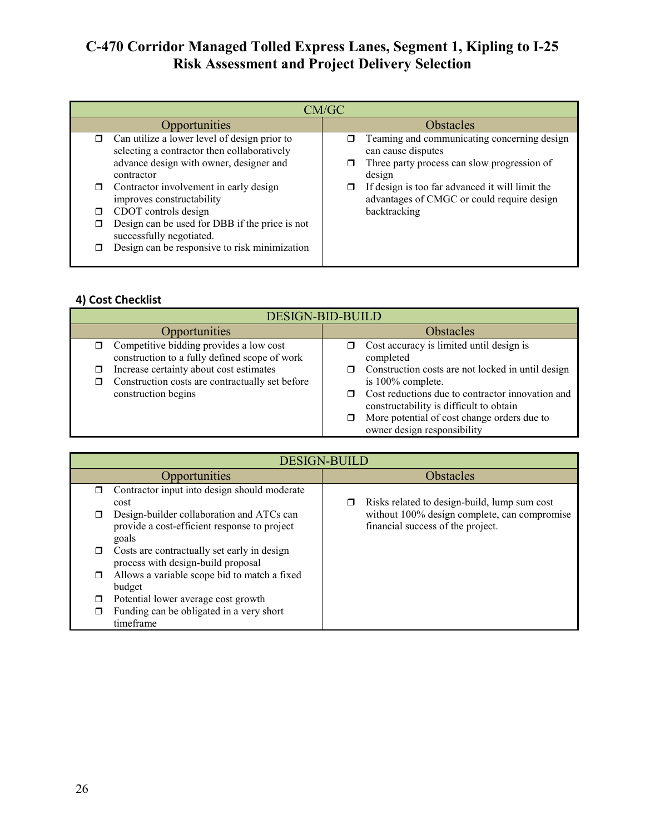| CM/GC                                                                                                                                                                                                                                       |  |  |
|---------------------------------------------------------------------------------------------------------------------------------------------------------------------------------------------------------------------------------------------|--|--|
| <b>Obstacles</b>                                                                                                                                                                                                                            |  |  |
| Teaming and communicating concerning design<br>can cause disputes<br>Three party process can slow progression of<br>design<br>If design is too far advanced it will limit the<br>advantages of CMGC or could require design<br>backtracking |  |  |
|                                                                                                                                                                                                                                             |  |  |

## **4) Cost Checklist**

| <b>DESIGN-BID-BUILD</b>                                                                                                                                                                                                       |                                                                                                                                                                                                                                                                                                              |  |
|-------------------------------------------------------------------------------------------------------------------------------------------------------------------------------------------------------------------------------|--------------------------------------------------------------------------------------------------------------------------------------------------------------------------------------------------------------------------------------------------------------------------------------------------------------|--|
| Opportunities                                                                                                                                                                                                                 | <b>Obstacles</b>                                                                                                                                                                                                                                                                                             |  |
| Competitive bidding provides a low cost<br>σ.<br>construction to a fully defined scope of work<br>Increase certainty about cost estimates<br>⊓<br>Construction costs are contractually set before<br>⊓<br>construction begins | Cost accuracy is limited until design is<br>completed<br>Construction costs are not locked in until design<br>is 100% complete.<br>Cost reductions due to contractor innovation and<br>constructability is difficult to obtain<br>More potential of cost change orders due to<br>owner design responsibility |  |

| <b>DESIGN-BUILD</b> |                                              |  |                                              |
|---------------------|----------------------------------------------|--|----------------------------------------------|
|                     | Opportunities                                |  | <b>Obstacles</b>                             |
| ⊓                   | Contractor input into design should moderate |  |                                              |
|                     | cost                                         |  | Risks related to design-build, lump sum cost |
| □                   | Design-builder collaboration and ATCs can    |  | without 100% design complete, can compromise |
|                     | provide a cost-efficient response to project |  | financial success of the project.            |
|                     | goals                                        |  |                                              |
| □                   | Costs are contractually set early in design  |  |                                              |
|                     | process with design-build proposal           |  |                                              |
| ⊓                   | Allows a variable scope bid to match a fixed |  |                                              |
|                     | budget                                       |  |                                              |
| $\Box$              | Potential lower average cost growth          |  |                                              |
|                     | Funding can be obligated in a very short     |  |                                              |
|                     | timeframe                                    |  |                                              |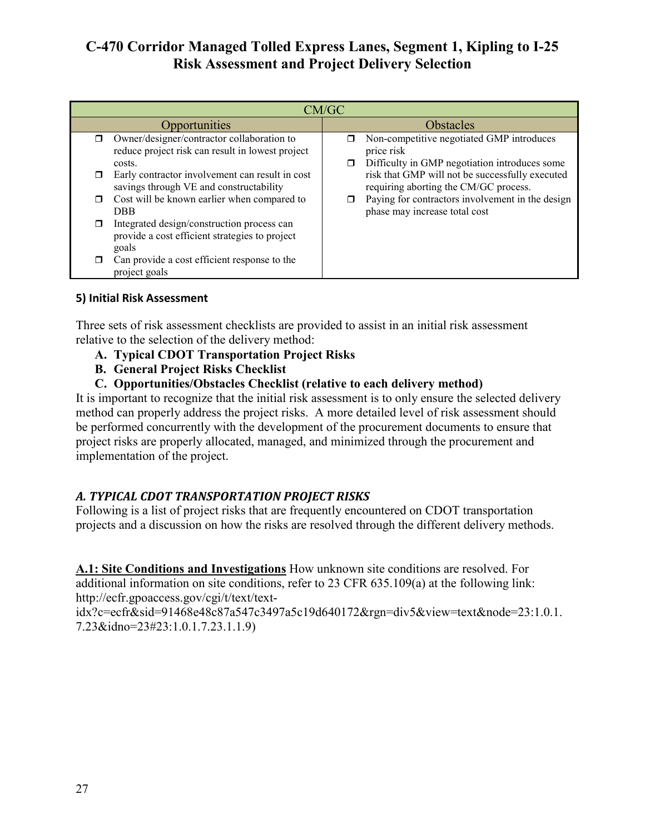|        | CM/GC                                                                                                 |           |                                                                                          |  |
|--------|-------------------------------------------------------------------------------------------------------|-----------|------------------------------------------------------------------------------------------|--|
|        | Opportunities                                                                                         | Obstacles |                                                                                          |  |
| ⊓      | Owner/designer/contractor collaboration to<br>reduce project risk can result in lowest project        |           | Non-competitive negotiated GMP introduces<br>price risk                                  |  |
|        | costs.                                                                                                | ⊓         | Difficulty in GMP negotiation introduces some                                            |  |
|        | Early contractor involvement can result in cost<br>savings through VE and constructability            |           | risk that GMP will not be successfully executed<br>requiring aborting the CM/GC process. |  |
| $\Box$ | Cost will be known earlier when compared to<br><b>DBB</b>                                             |           | Paying for contractors involvement in the design<br>phase may increase total cost        |  |
| $\Box$ | Integrated design/construction process can<br>provide a cost efficient strategies to project<br>goals |           |                                                                                          |  |
|        | Can provide a cost efficient response to the<br>project goals                                         |           |                                                                                          |  |

### **5) Initial Risk Assessment**

Three sets of risk assessment checklists are provided to assist in an initial risk assessment relative to the selection of the delivery method:

- **A. Typical CDOT Transportation Project Risks**
- **B. General Project Risks Checklist**
- **C. Opportunities/Obstacles Checklist (relative to each delivery method)**

It is important to recognize that the initial risk assessment is to only ensure the selected delivery method can properly address the project risks. A more detailed level of risk assessment should be performed concurrently with the development of the procurement documents to ensure that project risks are properly allocated, managed, and minimized through the procurement and implementation of the project.

### *A. TYPICAL CDOT TRANSPORTATION PROJECT RISKS*

Following is a list of project risks that are frequently encountered on CDOT transportation projects and a discussion on how the risks are resolved through the different delivery methods.

**A.1: Site Conditions and Investigations** How unknown site conditions are resolved. For additional information on site conditions, refer to 23 CFR 635.109(a) at the following link: http://ecfr.gpoaccess.gov/cgi/t/text/text-

idx?c=ecfr&sid=91468e48c87a547c3497a5c19d640172&rgn=div5&view=text&node=23:1.0.1. 7.23&idno=23#23:1.0.1.7.23.1.1.9)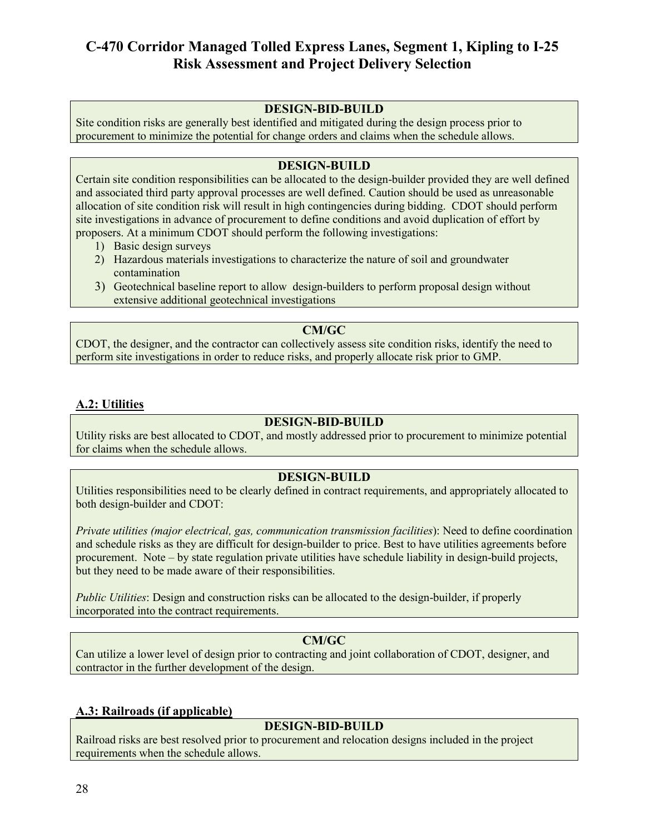#### **DESIGN-BID-BUILD**

Site condition risks are generally best identified and mitigated during the design process prior to procurement to minimize the potential for change orders and claims when the schedule allows.

#### **DESIGN-BUILD**

Certain site condition responsibilities can be allocated to the design-builder provided they are well defined and associated third party approval processes are well defined. Caution should be used as unreasonable allocation of site condition risk will result in high contingencies during bidding. CDOT should perform site investigations in advance of procurement to define conditions and avoid duplication of effort by proposers. At a minimum CDOT should perform the following investigations:

- 1) Basic design surveys
- 2) Hazardous materials investigations to characterize the nature of soil and groundwater contamination
- 3) Geotechnical baseline report to allow design-builders to perform proposal design without extensive additional geotechnical investigations

### **CM/GC**

CDOT, the designer, and the contractor can collectively assess site condition risks, identify the need to perform site investigations in order to reduce risks, and properly allocate risk prior to GMP.

#### **A.2: Utilities**

#### **DESIGN-BID-BUILD**

Utility risks are best allocated to CDOT, and mostly addressed prior to procurement to minimize potential for claims when the schedule allows.

#### **DESIGN-BUILD**

Utilities responsibilities need to be clearly defined in contract requirements, and appropriately allocated to both design-builder and CDOT:

*Private utilities (major electrical, gas, communication transmission facilities*): Need to define coordination and schedule risks as they are difficult for design-builder to price. Best to have utilities agreements before procurement. Note – by state regulation private utilities have schedule liability in design-build projects, but they need to be made aware of their responsibilities.

*Public Utilities*: Design and construction risks can be allocated to the design-builder, if properly incorporated into the contract requirements.

### **CM/GC**

Can utilize a lower level of design prior to contracting and joint collaboration of CDOT, designer, and contractor in the further development of the design.

#### **A.3: Railroads (if applicable)**

### **DESIGN-BID-BUILD**

Railroad risks are best resolved prior to procurement and relocation designs included in the project requirements when the schedule allows.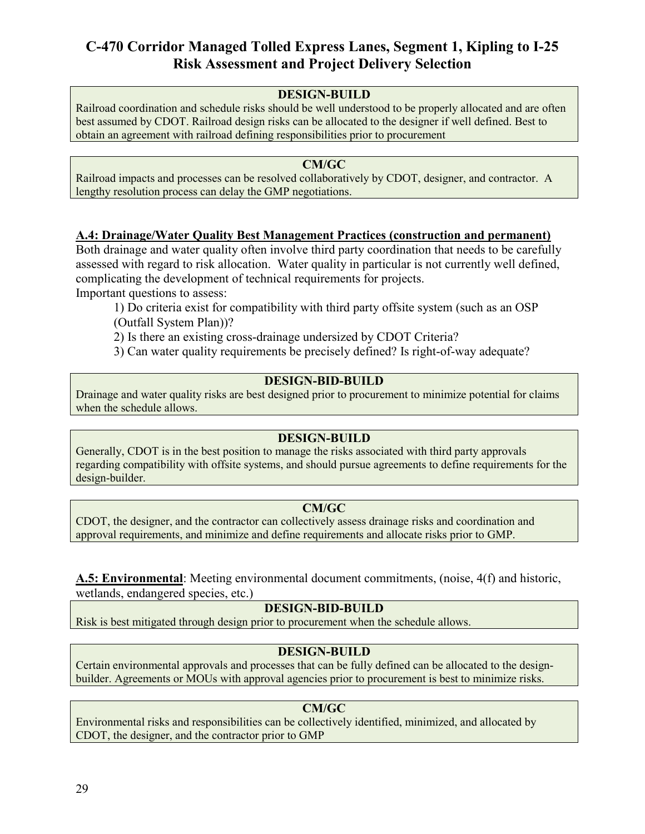### **DESIGN-BUILD**

Railroad coordination and schedule risks should be well understood to be properly allocated and are often best assumed by CDOT. Railroad design risks can be allocated to the designer if well defined. Best to obtain an agreement with railroad defining responsibilities prior to procurement

#### **CM/GC**

Railroad impacts and processes can be resolved collaboratively by CDOT, designer, and contractor. A lengthy resolution process can delay the GMP negotiations.

#### **A.4: Drainage/Water Quality Best Management Practices (construction and permanent)**

Both drainage and water quality often involve third party coordination that needs to be carefully assessed with regard to risk allocation. Water quality in particular is not currently well defined, complicating the development of technical requirements for projects. Important questions to assess:

1) Do criteria exist for compatibility with third party offsite system (such as an OSP (Outfall System Plan))?

2) Is there an existing cross-drainage undersized by CDOT Criteria?

3) Can water quality requirements be precisely defined? Is right-of-way adequate?

#### **DESIGN-BID-BUILD**

Drainage and water quality risks are best designed prior to procurement to minimize potential for claims when the schedule allows.

#### **DESIGN-BUILD**

Generally, CDOT is in the best position to manage the risks associated with third party approvals regarding compatibility with offsite systems, and should pursue agreements to define requirements for the design-builder.

#### **CM/GC**

CDOT, the designer, and the contractor can collectively assess drainage risks and coordination and approval requirements, and minimize and define requirements and allocate risks prior to GMP.

**A.5: Environmental**: Meeting environmental document commitments, (noise, 4(f) and historic, wetlands, endangered species, etc.)

#### **DESIGN-BID-BUILD**

Risk is best mitigated through design prior to procurement when the schedule allows.

#### **DESIGN-BUILD**

Certain environmental approvals and processes that can be fully defined can be allocated to the designbuilder. Agreements or MOUs with approval agencies prior to procurement is best to minimize risks.

#### **CM/GC**

Environmental risks and responsibilities can be collectively identified, minimized, and allocated by CDOT, the designer, and the contractor prior to GMP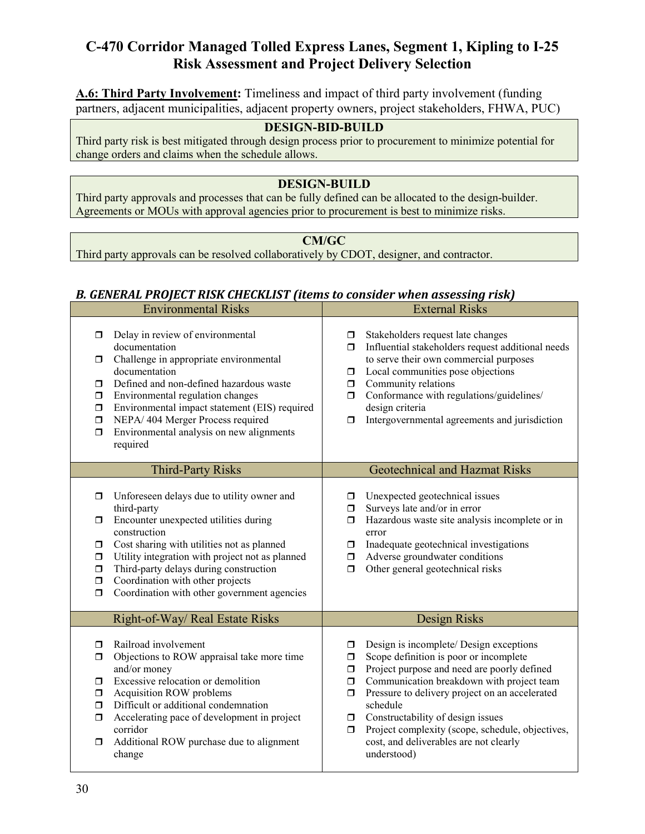**A.6: Third Party Involvement:** Timeliness and impact of third party involvement (funding partners, adjacent municipalities, adjacent property owners, project stakeholders, FHWA, PUC)

### **DESIGN-BID-BUILD**

Third party risk is best mitigated through design process prior to procurement to minimize potential for change orders and claims when the schedule allows.

#### **DESIGN-BUILD**

Third party approvals and processes that can be fully defined can be allocated to the design-builder. Agreements or MOUs with approval agencies prior to procurement is best to minimize risks.

**CM/GC**

Third party approvals can be resolved collaboratively by CDOT, designer, and contractor.

#### *B. GENERAL PROJECT RISK CHECKLIST (items to consider when assessing risk)*

| <b>Environmental Risks</b>                                                                                                                                                                                                                                                                                                                                                                                        | <b>External Risks</b>                                                                                                                                                                                                                                                                                                                                                                                                                            |
|-------------------------------------------------------------------------------------------------------------------------------------------------------------------------------------------------------------------------------------------------------------------------------------------------------------------------------------------------------------------------------------------------------------------|--------------------------------------------------------------------------------------------------------------------------------------------------------------------------------------------------------------------------------------------------------------------------------------------------------------------------------------------------------------------------------------------------------------------------------------------------|
| Delay in review of environmental<br>$\Box$<br>documentation<br>Challenge in appropriate environmental<br>$\Box$<br>documentation<br>Defined and non-defined hazardous waste<br>$\Box$<br>Environmental regulation changes<br>0<br>Environmental impact statement (EIS) required<br>$\Box$<br>NEPA/ 404 Merger Process required<br>$\Box$<br>Environmental analysis on new alignments<br>$\Box$<br>required        | Stakeholders request late changes<br>σ.<br>Influential stakeholders request additional needs<br>$\Box$<br>to serve their own commercial purposes<br>Local communities pose objections<br>$\Box$<br>Community relations<br>$\Box$<br>Conformance with regulations/guidelines/<br>$\Box$<br>design criteria<br>Intergovernmental agreements and jurisdiction<br>$\Box$                                                                             |
| <b>Third-Party Risks</b>                                                                                                                                                                                                                                                                                                                                                                                          | <b>Geotechnical and Hazmat Risks</b>                                                                                                                                                                                                                                                                                                                                                                                                             |
| Unforeseen delays due to utility owner and<br>□<br>third-party<br>Encounter unexpected utilities during<br>$\Box$<br>construction<br>Cost sharing with utilities not as planned<br>$\Box$<br>Utility integration with project not as planned<br>$\Box$<br>Third-party delays during construction<br>$\Box$<br>Coordination with other projects<br>$\Box$<br>Coordination with other government agencies<br>$\Box$ | Unexpected geotechnical issues<br>Π.<br>Surveys late and/or in error<br>ο.<br>Hazardous waste site analysis incomplete or in<br>$\Box$<br>error<br>Inadequate geotechnical investigations<br>$\Box$<br>Adverse groundwater conditions<br>$\Box$<br>Other general geotechnical risks<br>$\Box$                                                                                                                                                    |
| Right-of-Way/ Real Estate Risks                                                                                                                                                                                                                                                                                                                                                                                   | Design Risks                                                                                                                                                                                                                                                                                                                                                                                                                                     |
| Railroad involvement<br>$\Box$<br>Objections to ROW appraisal take more time<br>$\Box$<br>and/or money<br>Excessive relocation or demolition<br>$\Box$<br>Acquisition ROW problems<br>$\Box$<br>Difficult or additional condemnation<br>$\Box$<br>Accelerating pace of development in project<br>$\Box$<br>corridor<br>Additional ROW purchase due to alignment<br>$\Box$<br>change                               | Design is incomplete/ Design exceptions<br>0<br>Scope definition is poor or incomplete<br>$\Box$<br>Project purpose and need are poorly defined<br>$\Box$<br>Communication breakdown with project team<br>$\Box$<br>Pressure to delivery project on an accelerated<br>σ.<br>schedule<br>Constructability of design issues<br>Project complexity (scope, schedule, objectives,<br>$\Box$<br>cost, and deliverables are not clearly<br>understood) |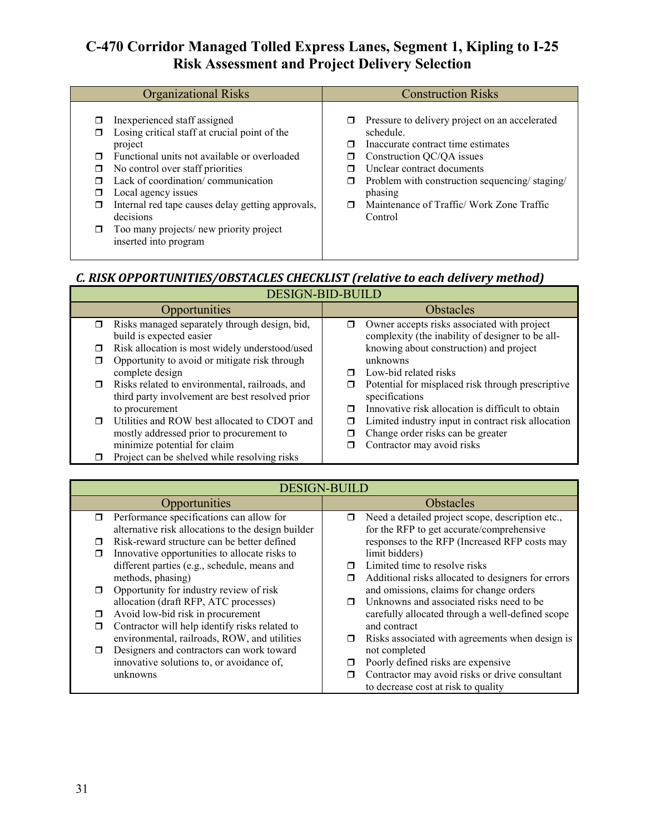| <b>Organizational Risks</b>                                                                                                                                                                                                                                                                                                                                                               | <b>Construction Risks</b>                                                                                                                                                                                                                                                                      |
|-------------------------------------------------------------------------------------------------------------------------------------------------------------------------------------------------------------------------------------------------------------------------------------------------------------------------------------------------------------------------------------------|------------------------------------------------------------------------------------------------------------------------------------------------------------------------------------------------------------------------------------------------------------------------------------------------|
| Inexperienced staff assigned<br>Losing critical staff at crucial point of the<br>П<br>project<br>Functional units not available or overloaded<br>No control over staff priorities<br>Lack of coordination/communication<br>Local agency issues<br>Internal red tape causes delay getting approvals,<br>□<br>decisions<br>Too many projects/ new priority project<br>inserted into program | Pressure to delivery project on an accelerated<br>$\Box$<br>schedule.<br>Inaccurate contract time estimates<br>Construction QC/QA issues<br>Unclear contract documents<br>Problem with construction sequencing/staging/<br>□<br>phasing<br>Maintenance of Traffic/Work Zone Traffic<br>Control |

## *C. RISK OPPORTUNITIES/OBSTACLES CHECKLIST (relative to each delivery method)*

| <b>DESIGN-BID-BUILD</b> |                                                                                                   |   |                                                                                                 |
|-------------------------|---------------------------------------------------------------------------------------------------|---|-------------------------------------------------------------------------------------------------|
|                         | Opportunities                                                                                     |   | <b>Obstacles</b>                                                                                |
| $\Box$                  | Risks managed separately through design, bid,<br>build is expected easier                         | π | Owner accepts risks associated with project<br>complexity (the inability of designer to be all- |
| $\Box$                  | Risk allocation is most widely understood/used                                                    |   | knowing about construction) and project                                                         |
|                         | Opportunity to avoid or mitigate risk through                                                     |   | unknowns                                                                                        |
|                         | complete design                                                                                   |   | Low-bid related risks                                                                           |
| $\Box$                  | Risks related to environmental, railroads, and<br>third party involvement are best resolved prior |   | Potential for misplaced risk through prescriptive<br>specifications                             |
|                         | to procurement                                                                                    |   | Innovative risk allocation is difficult to obtain                                               |
| $\Box$                  | Utilities and ROW best allocated to CDOT and                                                      | □ | Limited industry input in contract risk allocation                                              |
|                         | mostly addressed prior to procurement to                                                          |   | Change order risks can be greater                                                               |
|                         | minimize potential for claim                                                                      |   | Contractor may avoid risks                                                                      |
|                         | Project can be shelved while resolving risks                                                      |   |                                                                                                 |

|        | <b>DESIGN-BUILD</b>                                |        |                                                    |  |
|--------|----------------------------------------------------|--------|----------------------------------------------------|--|
|        | Opportunities                                      |        | <b>Obstacles</b>                                   |  |
| $\Box$ | Performance specifications can allow for           | $\Box$ | Need a detailed project scope, description etc.,   |  |
|        | alternative risk allocations to the design builder |        | for the RFP to get accurate/comprehensive          |  |
| π      | Risk-reward structure can be better defined        |        | responses to the RFP (Increased RFP costs may      |  |
| π      | Innovative opportunities to allocate risks to      |        | limit bidders)                                     |  |
|        | different parties (e.g., schedule, means and       | $\Box$ | Limited time to resolve risks                      |  |
|        | methods, phasing)                                  | $\Box$ | Additional risks allocated to designers for errors |  |
| 0      | Opportunity for industry review of risk            |        | and omissions, claims for change orders            |  |
|        | allocation (draft RFP, ATC processes)              | п.     | Unknowns and associated risks need to be           |  |
| σ      | Avoid low-bid risk in procurement                  |        | carefully allocated through a well-defined scope   |  |
| σ      | Contractor will help identify risks related to     |        | and contract                                       |  |
|        | environmental, railroads, ROW, and utilities       | Ω.     | Risks associated with agreements when design is    |  |
| σ      | Designers and contractors can work toward          |        | not completed                                      |  |
|        | innovative solutions to, or avoidance of,          |        | Poorly defined risks are expensive                 |  |
|        | unknowns                                           | π      | Contractor may avoid risks or drive consultant     |  |
|        |                                                    |        | to decrease cost at risk to quality                |  |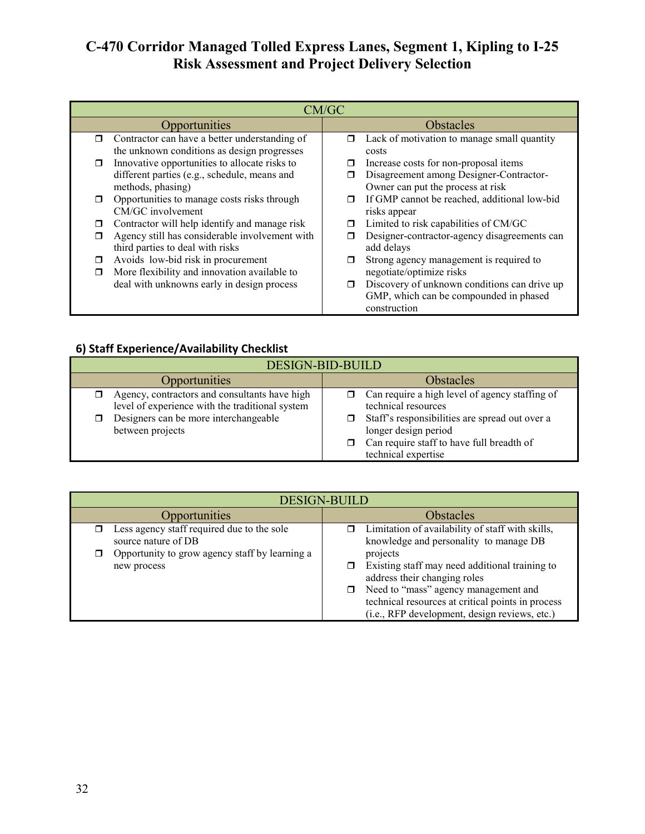| CM/GC                                                   |                                                        |  |  |
|---------------------------------------------------------|--------------------------------------------------------|--|--|
| Opportunities                                           | <b>Obstacles</b>                                       |  |  |
| Contractor can have a better understanding of<br>$\Box$ | Lack of motivation to manage small quantity<br>σ       |  |  |
| the unknown conditions as design progresses             | costs                                                  |  |  |
| Innovative opportunities to allocate risks to           | Increase costs for non-proposal items<br>□             |  |  |
| different parties (e.g., schedule, means and            | Disagreement among Designer-Contractor-<br>□           |  |  |
| methods, phasing)                                       | Owner can put the process at risk                      |  |  |
| Opportunities to manage costs risks through             | If GMP cannot be reached, additional low-bid<br>$\Box$ |  |  |
| CM/GC involvement                                       | risks appear                                           |  |  |
| Contractor will help identify and manage risk           | Limited to risk capabilities of CM/GC<br>◘             |  |  |
| Agency still has considerable involvement with          | Designer-contractor-agency disagreements can<br>□      |  |  |
| third parties to deal with risks                        | add delays                                             |  |  |
| Avoids low-bid risk in procurement                      | Strong agency management is required to<br>σ           |  |  |
| More flexibility and innovation available to<br>$\Box$  | negotiate/optimize risks                               |  |  |
| deal with unknowns early in design process              | Discovery of unknown conditions can drive up<br>$\Box$ |  |  |
|                                                         | GMP, which can be compounded in phased                 |  |  |
|                                                         | construction                                           |  |  |

## **6) Staff Experience/Availability Checklist**

| <b>DESIGN-BID-BUILD</b>                                                                                                                                       |                                                                                                                                                                                                                     |  |
|---------------------------------------------------------------------------------------------------------------------------------------------------------------|---------------------------------------------------------------------------------------------------------------------------------------------------------------------------------------------------------------------|--|
| <b>Opportunities</b>                                                                                                                                          | <b>Obstacles</b>                                                                                                                                                                                                    |  |
| Agency, contractors and consultants have high<br>level of experience with the traditional system<br>Designers can be more interchangeable<br>between projects | Can require a high level of agency staffing of<br>technical resources<br>Staff's responsibilities are spread out over a<br>longer design period<br>Can require staff to have full breadth of<br>technical expertise |  |

| <b>DESIGN-BUILD</b>                                                                                                 |                                                                                                                                                                                                                                    |  |  |
|---------------------------------------------------------------------------------------------------------------------|------------------------------------------------------------------------------------------------------------------------------------------------------------------------------------------------------------------------------------|--|--|
| <b>Opportunities</b>                                                                                                | <b>Obstacles</b>                                                                                                                                                                                                                   |  |  |
| Less agency staff required due to the sole<br>source nature of DB<br>Opportunity to grow agency staff by learning a | Limitation of availability of staff with skills,<br>knowledge and personality to manage DB<br>projects                                                                                                                             |  |  |
| new process                                                                                                         | Existing staff may need additional training to<br>address their changing roles<br>Need to "mass" agency management and<br>Π.<br>technical resources at critical points in process<br>(i.e., RFP development, design reviews, etc.) |  |  |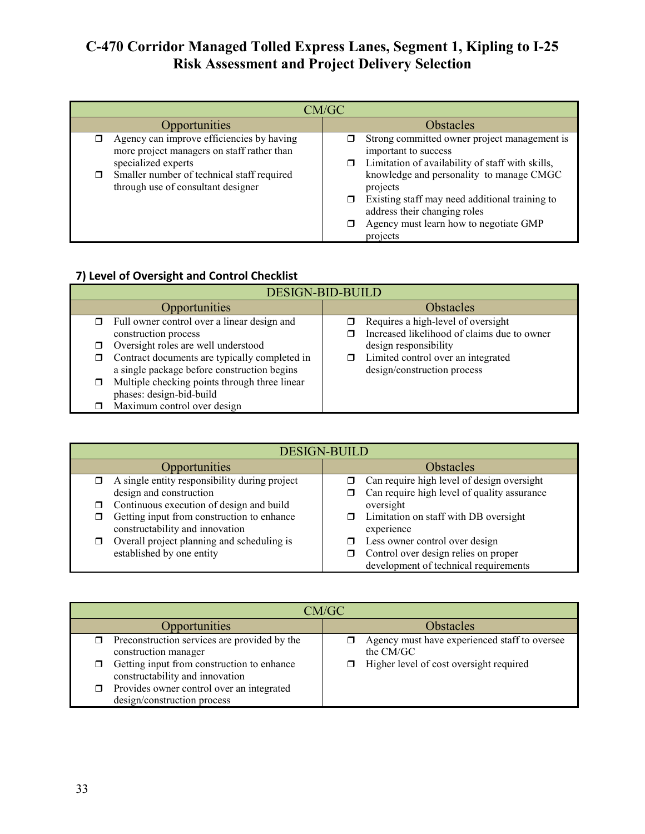| CM/GC                                                                                                          |  |                                                                                                                                                                                  |  |
|----------------------------------------------------------------------------------------------------------------|--|----------------------------------------------------------------------------------------------------------------------------------------------------------------------------------|--|
| <b>Opportunities</b>                                                                                           |  | <b>Obstacles</b>                                                                                                                                                                 |  |
| Agency can improve efficiencies by having<br>more project managers on staff rather than<br>specialized experts |  | Strong committed owner project management is<br>important to success<br>Limitation of availability of staff with skills,                                                         |  |
| Smaller number of technical staff required<br>through use of consultant designer                               |  | knowledge and personality to manage CMGC<br>projects<br>Existing staff may need additional training to<br>address their changing roles<br>Agency must learn how to negotiate GMP |  |
|                                                                                                                |  | projects                                                                                                                                                                         |  |

# **7) Level of Oversight and Control Checklist**

| <b>DESIGN-BID-BUILD</b>                                                                      |                                                                                   |  |  |
|----------------------------------------------------------------------------------------------|-----------------------------------------------------------------------------------|--|--|
| <b>Opportunities</b>                                                                         | <b>Obstacles</b>                                                                  |  |  |
| Full owner control over a linear design and<br>construction process                          | Requires a high-level of oversight<br>Increased likelihood of claims due to owner |  |  |
| Oversight roles are well understood                                                          | design responsibility                                                             |  |  |
| Contract documents are typically completed in<br>a single package before construction begins | Limited control over an integrated<br>design/construction process                 |  |  |
| Multiple checking points through three linear<br>phases: design-bid-build                    |                                                                                   |  |  |
| Maximum control over design                                                                  |                                                                                   |  |  |

| <b>DESIGN-BUILD</b>                                                                |                                                               |  |
|------------------------------------------------------------------------------------|---------------------------------------------------------------|--|
| Opportunities                                                                      | <b>Obstacles</b>                                              |  |
| A single entity responsibility during project<br>π                                 | Can require high level of design oversight                    |  |
| design and construction                                                            | Can require high level of quality assurance                   |  |
| Continuous execution of design and build<br>□                                      | oversight                                                     |  |
| Getting input from construction to enhance<br>σ<br>constructability and innovation | Limitation on staff with DB oversight<br>$\Box$<br>experience |  |
| Overall project planning and scheduling is<br>σ                                    | Less owner control over design                                |  |
| established by one entity                                                          | Control over design relies on proper                          |  |
|                                                                                    | development of technical requirements                         |  |

| CM/GC                                                                              |                                                            |  |  |  |  |
|------------------------------------------------------------------------------------|------------------------------------------------------------|--|--|--|--|
| Opportunities                                                                      | <b>Obstacles</b>                                           |  |  |  |  |
| Preconstruction services are provided by the<br>construction manager               | Agency must have experienced staff to oversee<br>the CM/GC |  |  |  |  |
| Getting input from construction to enhance<br>□<br>constructability and innovation | Higher level of cost oversight required                    |  |  |  |  |
| Provides owner control over an integrated<br>ο.<br>design/construction process     |                                                            |  |  |  |  |